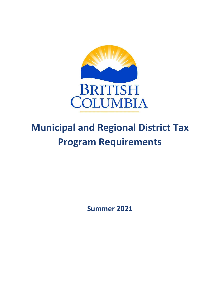

# **Municipal and Regional District Tax Program Requirements**

**Summer 2021**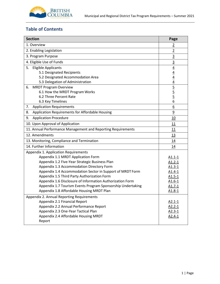

# **Table of Contents**

| <b>Section</b>                                               | Page                                                                  |
|--------------------------------------------------------------|-----------------------------------------------------------------------|
| 1. Overview                                                  | $\overline{2}$                                                        |
| 2. Enabling Legislation                                      | $\overline{2}$                                                        |
| 3. Program Purpose                                           | $\overline{3}$                                                        |
| 4. Eligible Use of Funds                                     | $\overline{3}$                                                        |
| 5.<br><b>Eligible Applicants</b>                             |                                                                       |
| 5.1 Designated Recipients                                    | $\frac{4}{4}$ $\frac{4}{4}$ $\frac{4}{5}$ $\frac{5}{5}$ $\frac{5}{6}$ |
| 5.2 Designated Accommodation Area                            |                                                                       |
| 5.3 Delegation of Administration                             |                                                                       |
| <b>MRDT Program Overview</b><br>6.                           |                                                                       |
| 6.1 How the MRDT Program Works                               |                                                                       |
| 6.2 Three Percent Rate                                       |                                                                       |
| 6.3 Key Timelines                                            |                                                                       |
| 7.<br><b>Application Requirements</b>                        | 6                                                                     |
| Application Requirements for Affordable Housing<br>8.        | $\overline{9}$                                                        |
| <b>Application Procedure</b><br>9.                           | 10                                                                    |
| 10. Upon Approval of Application                             | 11                                                                    |
| 11. Annual Performance Management and Reporting Requirements | 11                                                                    |
| 12. Amendments                                               | 13                                                                    |
| 13. Monitoring, Compliance and Termination                   | 14                                                                    |
| 14. Further Information                                      | 14                                                                    |
| Appendix 1. Application Requirements                         |                                                                       |
| Appendix 1.1 MRDT Application Form                           | $A1.1 - 1$                                                            |
| Appendix 1.2 Five-Year Strategic Business Plan               | $A1.2 - 1$                                                            |
| Appendix 1.3 Accommodation Directory Form                    | $A1.3-1$                                                              |
| Appendix 1.4 Accommodation Sector in Support of MRDT Form    | $A1.4-1$                                                              |
| Appendix 1.5 Third Party Authorization Form                  | $A1.5 - 1$                                                            |
| Appendix 1.6 Disclosure of Information Authorization Form    | $A1.6-1$                                                              |
| Appendix 1.7 Tourism Events Program Sponsorship Undertaking  | $A1.7-1$                                                              |
| Appendix 1.8 Affordable Housing MRDT Plan                    | $A1.8-1$                                                              |
| Appendix 2. Annual Reporting Requirements                    |                                                                       |
| Appendix 2.1 Financial Report                                | $A2.1 - 1$                                                            |
| Appendix 2.2 Annual Performance Report                       | $A2.2 - 1$                                                            |
| Appendix 2.3 One-Year Tactical Plan                          | $A2.3-1$                                                              |
| Appendix 2.4 Affordable Housing MRDT                         | $A2.4-1$                                                              |
| Report                                                       |                                                                       |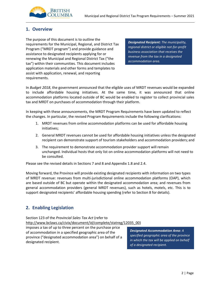

# <span id="page-2-0"></span>**1. Overview**

The purpose of this document is to outline the requirements for the Municipal, Regional, and District Tax Program ("MRDT program") and provide guidance and assistance to designated recipients applying for or renewing the Municipal and Regional District Tax ("the tax") within their communities. This document includes application materials and other forms and templates to assist with application, renewal, and reporting requirements.

*Designated Recipient: The municipality, regional district or eligible not-for-profit business association that receives the revenue from the tax in a designated accommodation area.*

In *Budget 2018*, the government announced that the eligible uses of MRDT revenues would be expanded to include affordable housing initiatives. At the same time, it was announced that online accommodation platforms located outside of BC would be enabled to register to collect provincial sales tax and MRDT on purchases of accommodation through their platform.

In keeping with these announcements, the MRDT Program Requirements have been updated to reflect the changes. In particular, the revised Program Requirements include the following clarifications:

- 1. MRDT revenues from online accommodation platforms can be used for affordable housing initiatives;
- 2. General MRDT revenues cannot be used for affordable housing initiatives unless the designated recipient can demonstrate support of tourism stakeholders and accommodation providers; and
- 3. The requirement to demonstrate accommodation provider support will remain unchanged. Individual hosts that only list on online accommodation platforms will not need to be consulted.

Please see the revised details in Sections 7 and 8 and Appendix 1.8 and 2.4.

Moving forward, the Province will provide existing designated recipients with information on two types of MRDT revenue: revenues from multi-jurisdictional online accommodation platforms (OAP), which are based outside of BC but operate within the designated accommodation area; and revenues from general accommodation providers (general MRDT revenues), such as hotels, motels, etc. This is to support designated recipients' affordable housing spending (refer to Section 8 for details).

# <span id="page-2-1"></span>**2. Enabling Legislation**

Section 123 of the *Provincial Sales Tax Act* (refer to [http://www.bclaws.ca/civix/document/id/complete/statreg/12035\\_00\)](http://www.bclaws.ca/civix/document/id/complete/statreg/12035_00)

imposes a tax of up to three percent on the purchase price of accommodation in a specified geographic area of the province ("designated accommodation area") on behalf of a designated recipient.

*Designated Accommodation Area: A specified geographic area of the province in which the tax will be applied on behalf of a designated recipient.*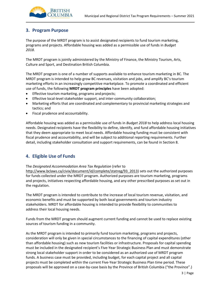

# <span id="page-3-0"></span>**3. Program Purpose**

The purpose of the MRDT program is to assist designated recipients to fund tourism marketing, programs and projects. Affordable housing was added as a permissible use of funds in *Budget 2018*.

The MRDT program is jointly administered by the Ministry of Finance, the Ministry Tourism, Arts, Culture and Sport, and Destination British Columbia.

The MRDT program is one of a number of supports available to enhance tourism marketing in BC. The MRDT program is intended to help grow BC revenues, visitation and jobs, and amplify BC's tourism marketing efforts in an increasingly competitive marketplace. To promote a coordinated and efficient use of funds, the following **MRDT program principles** have been adopted:

- Effective tourism marketing, programs and projects;
- Effective local-level stakeholder support, and inter-community collaboration;
- Marketing efforts that are coordinated and complementary to provincial marketing strategies and tactics; and
- Fiscal prudence and accountability.

Affordable housing was added as a permissible use of funds in *Budget 2018* to help address local housing needs. Designated recipients have the flexibility to define, identify, and fund affordable housing initiatives that they deem appropriate to meet local needs. Affordable housing funding must be consistent with fiscal prudence and accountability, and will be subject to additional reporting requirements. Further detail, including stakeholder consultation and support requirements, can be found in Section 8.

# <span id="page-3-1"></span>**4. Eligible Use of Funds**

### The *Designated Accommodation Area Tax Regulation* (refer to

[http://www.bclaws.ca/civix/document/id/complete/statreg/93\\_2013\)](http://www.bclaws.ca/civix/document/id/complete/statreg/93_2013) sets out the authorized purposes for funds collected under the MRDT program. Authorized purposes are tourism marketing, programs and projects, initiatives respecting affordable housing, and any other prescribed purposes as set out in the regulation.

The MRDT program is intended to contribute to the increase of local tourism revenue, visitation, and economic benefits and must be supported by both local governments and tourism industry stakeholders. MRDT for affordable housing is intended to provide flexibility to communities to address their local housing needs.

Funds from the MRDT program should augment current funding and cannot be used to replace existing sources of tourism funding in a community.

As the MRDT program is intended to primarily fund tourism marketing, programs and projects, consideration will only be given in special circumstances to the financing of capital expenditures (other than affordable housing) such as new tourism facilities or infrastructure. Proposals for capital spending must be included in the designated recipient's Five-Year Strategic Business Plan and must demonstrate strong local stakeholder support in order to be considered as an authorized use of MRDT program funds. A business case must be provided, including budget, for each capital project and all capital projects must be completed within the current Five-Year Strategic Business Plan time period. These proposals will be approved on a case-by-case basis by the Province of British Columbia ("the Province".)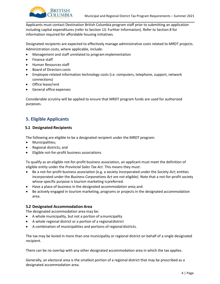

Applicants must contact Destination British Columbia program staff prior to submitting an application including capital expenditures (refer to Section 13: Further Information). Refer to Section 8 for information required for affordable housing initiatives.

Designated recipients are expected to effectively manage administrative costs related to MRDT projects. Administration costs, where applicable, include:

- Management and staff unrelated to programimplementation
- Finance staff
- Human Resources staff
- Board of Directors costs
- Employee-related information technology costs (i.e. computers, telephone, support, network connections)
- Office lease/rent
- General office expenses

Considerable scrutiny will be applied to ensure that MRDT program funds are used for authorized purposes.

# <span id="page-4-1"></span><span id="page-4-0"></span>**5. Eligible Applicants**

#### **5.1 Designated Recipients**

The following are eligible to be a designated recipient under the MRDT program:

- Municipalities;
- Regional districts; and
- Eligible not-for-profit business associations

To qualify as an eligible not-for-profit business association, an applicant must meet the definition of eligible entity under the *Provincial Sales Tax Act.* This means they must:

- Be a not-for-profit business association (e.g. a society incorporated under the *Society Act*; entities incorporated under the *Business Corporations Act* are not eligible). Note that a not-for-profit society whose specific purpose is tourism marketing is preferred.
- Have a place of business in the designated accommodation area;and
- Be actively engaged in tourism marketing, programs or projects in the designated accommodation area.

#### <span id="page-4-2"></span>**5.2 Designated Accommodation Area**

The designated accommodation area may be:

- A whole municipality, but not a portion of amunicipality
- A whole regional district or a portion of a regionaldistrict
- A combination of municipalities and portions of regional districts.

The tax may be levied in more than one municipality or regional district on behalf of a single designated recipient.

There can be no overlap with any other designated accommodation area in which the tax applies.

Generally, an electoral area is the smallest portion of a regional district that may be prescribed as a designated accommodation area.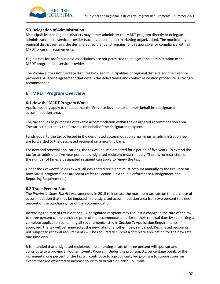

# <span id="page-5-0"></span>**5.3 Delegation of Administration**

Municipalities and regional districts may either administer the MRDT program directly or delegate administration to a service provider (such as a destination marketing organization). The municipality or regional district remains the designated recipient and remains fully responsible for compliance with all MRDT program requirements.

Eligible not-for-profit business associations are not permitted to delegate the administration of the MRDT program to a service provider.

The Province does **not** mediate disputes between municipalities or regional districts and their service providers. A service agreement that details the deliverables and conflict resolution procedure is strongly recommended.

# <span id="page-5-1"></span>**6. MRDT Program Overview**

### <span id="page-5-2"></span>**6.1 How the MRDT Program Works**

Applicants may apply to request that the Province levy the tax on their behalf in a designated accommodation area.

The tax applies to purchases of taxable accommodation within the designated accommodation area. The tax is collected by the Province on behalf of the designated recipient.

Funds equal to the tax collected in the designated accommodation area minus an administration fee are forwarded to the designated recipient on a monthly basis.

For new and renewal applications, the tax will be implemented for a period of five years. To extend the tax for an additional five-year period, a designated recipient must re-apply. There is no restriction on the number of times a designated recipient can apply to renew the tax.

Under the *Provincial Sales Tax Act*, **all** designated recipients must account annually to the Province on how MRDT program funds are spent (refer to Section 11: Annual Performance Management and Reporting Requirements).

### <span id="page-5-3"></span>**6.2 Three Percent Rate**

The *Provincial Sales Tax Act* was amended in 2015 to increase the maximum tax rate on the purchase of accommodation that may be imposed in a designated accommodation area from two percent to three percent of the purchase price of the accommodation.

Increasing the rate of tax is optional. A designated recipient may request a change in the rate of the tax to three percent of the purchase price of the accommodation prior to their renewal date by submitting a complete application containing all requirements listed in Section 7: Application Requirements. If approved, the tax will be renewed at the new rate for another five-year period. Designated recipients not subject to renewal requirements will be required to submit a complete application for the new rate one time only.

It is intended that designated recipients implementing a rate of three percent will sponsor and contribute to a provincial Tourism Events Program. Under this program, 0.2 percentage points of the incremental one percent of the tax will contribute to a provincially led program to support tourism events that are expected to increase tourism to or within British Columbia.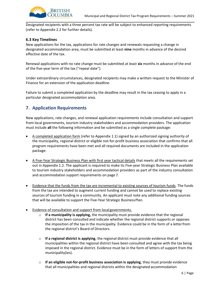

Designated recipients with a three percent tax rate will be subject to enhanced reporting requirements (refer to Appendix 2.2 for further details).

# <span id="page-6-0"></span>**6.3 Key Timelines**

New applications for the tax, applications for rate changes and renewals requesting a change in designated accommodation area, must be submitted at least **nine** months in advance of the desired effective date of the tax.

Renewal applications with no rate change must be submitted at least **six** months in advance of the end of the five-year term of the tax ("repeal date").

Under extraordinary circumstances, designated recipients may make a written request to the Minister of Finance for an extension of the application deadline.

Failure to submit a completed application by the deadline may result in the tax ceasing to apply in a particular designated accommodation area.

# <span id="page-6-1"></span>**7. Application Requirements**

New applications, rate changes, and renewal application requirements include consultation and support from local governments, tourism industry stakeholders and accommodation providers. The application must include **all** the following information and be submitted as a single complete package:

- A completed application form (refer to Appendix 1.1) signed by an authorized signing authority of the municipality, regional district or eligible not-for-profit business association that confirms that all program requirements have been met and all required documents are included in the application package.
- A Five-Year Strategic Business Plan with first year tactical details that meets all the requirements set out in Appendix 1.2. The applicant is required to make its Five-year Strategic Business Plan available to tourism industry stakeholders and accommodation providers as part of the industry consultation and accommodation support requirements on page 7.
- Evidence that the funds from the tax are incremental to existing sources of tourism funds. The funds from the tax are intended to augment current funding and cannot be used to replace existing sources of tourism funding in a community. An applicant must note any additional funding sources that will be available to support the Five-Year Strategic Business Plan.
- Evidence of consultation and support from local governments.
	- o **If a municipality is applying,** the municipality must provide evidence that the regional district has been consulted and indicate whether the regional district supports or opposes the imposition of the tax in the municipality. Evidence could be in the form of a letterfrom the regional district's Board of Directors.
	- o **If a regional district is applying**, the regional district must provide evidence that all municipalities within the regional district have been consulted and agree with the tax being imposed in the regional district. Evidence must be in the form of letters of support from the municipality(ies).
	- o **If an eligible not-for-profit business association is applying**, they must provide evidence that all municipalities and regional districts within the designated accommodation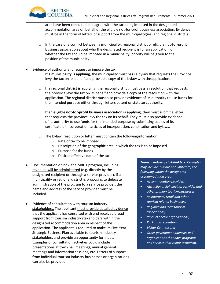area have been consulted and agree with the tax being imposed in the designated accommodation area on behalf of the eligible not-for-profit business association. Evidence must be in the form of letters of support from the municipality(ies) and regional district(s).

- $\circ$  In the case of a conflict between a municipality, regional district or eligible not-for-profit business association about who the designated recipient is for an application, or whether the tax should be imposed in a municipality, priority will be given to the position of the municipality.
- Evidence of authority and request to impose the tax.

**BRITISH** COLUMBIA

- o **If a municipality is applying**, the municipality must pass a bylaw that requests the Province levy the tax on its behalf and provide a copy of the bylaw with theapplication.
- o **If a regional district is applying**, the regional district must pass a resolution that requests the province levy the tax on its behalf and provide a copy of the resolution with the application. The regional district must also provide evidence of its authority to use funds for the intended purpose either through letters patent or statutoryauthority.
- o **If an eligible not-for-profit business association is applying**, they must submit a letter that requests the province levy the tax on its behalf. They must also provide evidence of its authority to use funds for the intended purpose by submitting copies of its certificate of incorporation, articles of incorporation, constitution and bylaws.
- o The bylaw, resolution or letter must contain the followinginformation:
	- o Rate of tax to be imposed
	- o Description of the geographic area in which the tax is to beimposed
	- o Purpose for the funds
	- o Desired effective date of the tax.
- Documentation on how the MRDT program, including revenue, will be administered (e.g. directly by the designated recipient or through a service provider). If a municipality or regional district is proposing to delegate administration of the program to a service provider, the name and address of the service provider must be included.
- Evidence of consultation with tourism industry stakeholders. The applicant must provide detailed evidence that the applicant has consulted with and received broad support from tourism industry stakeholders within the designated accommodation area in respect of the application. The applicant is required to make its Five-Year Strategic Business Plan available to tourism industry stakeholders and provide an opportunity for input. Examples of consultation activities could include presentations at town hall meetings, annual general meetings and information sessions, etc. Letters of support from individual tourism industry businesses or organizations can also be provided.

*Tourism industry stakeholders: Examples may include, but are not limited to, the following within the designated accommodation area:*

- *Accommodation providers;*
- *Attractions, sightseeing, activities and other primary tourismbusinesses;*
- *Restaurants, retail and other tourism related businesses;*
- *Regional and localtourism associations;*
- *Product Sector organizations;*
- *Parks and recreation;*
- *Visitor Centres; and*
- *Other government agencies and organizations that have programs and services that relate totourism.*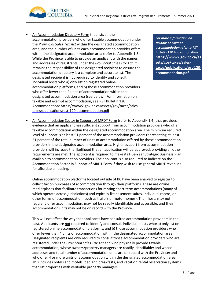

• An Accommodation Directory Form that lists all the accommodation providers who offer taxable accommodation under the *Provincial Sales Tax Act* within the designated accommodation area, and the number of units each accommodation provider offers within the designated accommodation area (refer to Appendix 1.3). While the Province is able to provide an applicant with the names and addresses of registrants under the *Provincial Sales Tax Act*, it remains the responsibility of the designated recipient to ensure the accommodation directory is a complete and accurate list. The designated recipient is not required to identify and consult individual hosts who a) only list on registered online accommodation platforms, and b) those accommodation providers who offer fewer than 4 units of accommodation within the designated accommodation area (see below). For information on taxable and exempt accommodation, see PST Bulletin 120 Accommodation: [https://www2.gov.bc.ca/assets/gov/taxes/sales](https://www2.gov.bc.ca/assets/gov/taxes/sales-taxes/publications/pst-120-accommodation.pdf)[taxes/publications/pst-120-accommodation.pdf](https://www2.gov.bc.ca/assets/gov/taxes/sales-taxes/publications/pst-120-accommodation.pdf)

*For more information on taxable or exempt accommodation refer to* PST Bulletin 120 Accommodation **[https://www2.gov.bc.ca/as](https://www2.gov.bc.ca/assets/gov/taxes/sales-taxes/publications/pst-120-accommodation.pdf) [sets/gov/taxes/sales](https://www2.gov.bc.ca/assets/gov/taxes/sales-taxes/publications/pst-120-accommodation.pdf)[taxes/publications/pst-120](https://www2.gov.bc.ca/assets/gov/taxes/sales-taxes/publications/pst-120-accommodation.pdf) [accommodation.pdf](https://www2.gov.bc.ca/assets/gov/taxes/sales-taxes/publications/pst-120-accommodation.pdf)**

• An Accommodation Sector in Support of MRDT Form (refer to Appendix 1.4) that provides evidence that an applicant has sufficient support from accommodation providers who offer taxable accommodation within the designated accommodation area. The minimum required level of support is at least 51 percent of the accommodation providers representing at least 51 percent of the total number of units of accommodation offered by those accommodation providers in the designated accommodation area. Higher support from accommodation providers will increase the likelihood that an application will be approved, providing all other requirements are met. The applicant is required to make its Five-Year Strategic Business Plan available to accommodation providers. The applicant is also required to indicate on the Accommodation Sector in Support of MRDT Form if they wish to use general MRDT revenues for affordable housing.

Online accommodation platforms located outside of BC have been enabled to register to collect tax on purchases of accommodation through their platforms. These are online marketplaces that facilitate transactions for renting short-term accommodations (many of which operate across jurisdictions) and typically list basement suites, individual rooms, or other forms of accommodation (such as trailers or motor homes). Their hosts may not regularly offer accommodation, may not be readily identifiable and accessible, and their accommodation units may not be on record with the Province.

This will not affect the way that applicants have consulted accommodation providers in the past. Applicants are not required to identify and consult individual hosts who: a) only list on registered online accommodation platforms, and b) those accommodation providers who offer fewer than 4 units of accommodation within the designated accommodation area. Designated recipients are only required to consult those accommodation providers who are registered under the *Provincial Sales Tax Act* and who physically provide taxable accommodation; whose owners/property managers are readily identifiable; and whose addresses and total number of accommodation units are on record with the Province; and who offer 4 or more units of accommodation within the designated accommodation area. This includes hotels and motels, bed and breakfasts, and vacation rental reservation systems that list properties with verifiable property managers.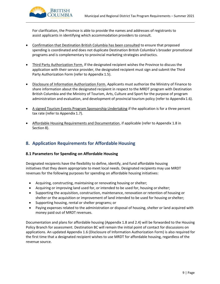

For clarification, the Province is able to provide the names and addresses of registrants to assist applicants in identifying which accommodation providers to consult.

- Confirmation that Destination British Columbia has been consulted to ensure that proposed spending is coordinated and does not duplicate Destination British Columbia's broader promotional programs and is complementary to provincial marketing strategies andtactics.
- Third Party Authorization Form. If the designated recipient wishes the Province to discuss the application with their service provider, the designated recipient must sign and submit the Third Party Authorization Form (refer to Appendix 1.5).
- Disclosure of Information Authorization Form. Applicants must authorize the Ministry of Finance to share information about the designated recipient in respect to the MRDT program with Destination British Columbia and the Ministry of Tourism, Arts, Culture and Sport for the purpose of program administration and evaluation, and development of provincial tourism policy (refer to Appendix1.6).
- A signed Tourism Events Program Sponsorship Undertaking if the application is for a three percent tax rate (refer to Appendix 1.7).
- Affordable Housing Requirements and Documentation, if applicable (refer to Appendix 1.8 in Section 8).

# **8. Application Requirements for Affordable Housing**

# **8.1 Parameters for Spending on Affordable Housing**

Designated recipients have the flexibility to define, identify, and fund affordable housing initiatives that they deem appropriate to meet local needs. Designated recipients may use MRDT revenues for the following purposes for spending on affordable housing initiatives:

- <span id="page-9-0"></span>• Acquiring, constructing, maintaining or renovating housing or shelter;
- Acquiring or improving land used for, or intended to be used for, housing orshelter;
- Supporting the acquisition, construction, maintenance, renovation or retention of housing or shelter or the acquisition or improvement of land intended to be used for housing orshelter;
- Supporting housing, rental or shelter programs; or
- Paying expenses related to the administration or disposal of housing, shelter or land acquired with money paid out of MRDT revenues.

Documentation and plans for affordable housing (Appendix 1.8 and 2.4) will be forwarded to the Housing Policy Branch for assessment. Destination BC will remain the initial point of contact for discussions on applications. An updated Appendix 1.6 (Disclosure of Information Authorization Form) is also required for the first time that a designated recipient wishes to use MRDT for affordable housing, regardless of the revenue source.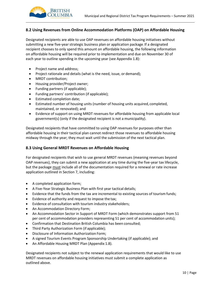

# **8.2 Using Revenues from Online Accommodation Platforms (OAP) on Affordable Housing**

Designated recipients are able to use OAP revenues on affordable housing initiatives without submitting a new five-year strategic business plan or application package. If a designated recipient chooses to only spend this amount on affordable housing, the following information on affordable housing will be required prior to implementation and due on November 30 of each year to outline spending in the upcoming year (see Appendix 1.8):

- Project name and address;
- Project rationale and details (what is the need, issue, or demand);
- MRDT contribution;
- Housing provider/Project owner;
- Funding partners (if applicable);
- Funding partners' contribution (if applicable);
- Estimated completion date;
- Estimated number of housing units (number of housing units acquired, completed, maintained, or renovated); and
- Evidence of support on using MRDT revenues for affordable housing from applicable local government(s) (only if the designated recipient is not a municipality).

Designated recipients that have committed to using OAP revenues for purposes other than affordable housing in their tactical plan cannot redirect those revenues to affordable housing midway through the year; they must wait until the submission of the next tactical plan.

### **8.3 Using General MRDT Revenues on Affordable Housing**

For designated recipients that wish to use general MRDT revenues (meaning revenues beyond OAP revenues), they can submit a new application at any time during the five-year tax lifecycle, but the package must include all of the documentation required for a renewal or rate increase application outlined in Section 7, including:

- A completed application form;
- A Five-Year Strategic Business Plan with first year tactical details;
- Evidence that the funds from the tax are incremental to existing sources of tourism funds;
- Evidence of authority and request to impose the tax;
- Evidence of consultation with tourism industry stakeholders;
- An Accommodation Directory Form;
- An Accommodation Sector in Support of MRDT Form (which demonstrates support from 51 per cent of accommodation providers representing 51 per cent of accommodation units);
- Confirmation that Destination British Columbia has been consulted;
- Third Party Authorization Form (if applicable);
- Disclosure of Information Authorization Form;
- A signed Tourism Events Program Sponsorship Undertaking (if applicable); and
- An Affordable Housing MRDT Plan (Appendix 1.8).

Designated recipients not subject to the renewal application requirements that would like to use MRDT revenues on affordable housing initiatives must submit a complete application as outlined above.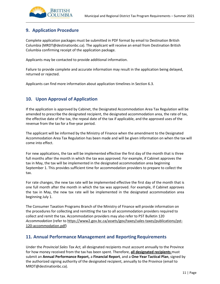

# <span id="page-11-0"></span>**9. Application Procedure**

Complete application packages must be submitted in PDF format by email to Destination British Columbia (MRDT@destinationbc.ca). The applicant will receive an email from Destination British Columbia confirming receipt of the application package.

Applicants may be contacted to provide additional information.

Failure to provide complete and accurate information may result in the application being delayed, returned or rejected.

Applicants can find more information about application timelines in Section 6.3.

# <span id="page-11-1"></span>**10. Upon Approval of Application**

If the application is approved by Cabinet, the Designated Accommodation Area Tax Regulation will be amended to prescribe the designated recipient, the designated accommodation area, the rate of tax, the effective date of the tax, the repeal date of the tax if applicable, and the approved uses of the revenue from the tax for a five-year period.

The applicant will be informed by the Ministry of Finance when the amendment to the Designated Accommodation Area Tax Regulation has been made and will be given information on when the tax will come into effect.

For new applications, the tax will be implemented effective the first day of the month that is three full months after the month in which the tax was approved. For example, if Cabinet approves the tax in May, the tax will be implemented in the designated accommodation area beginning September 1. This provides sufficient time for accommodation providers to prepare to collect the tax.

For rate changes, the new tax rate will be implemented effective the first day of the month that is one full month after the month in which the tax was approved. For example, if Cabinet approves the tax in May, the new tax rate will be implemented in the designated accommodation area beginning July 1.

The Consumer Taxation Programs Branch of the Ministry of Finance will provide information on the procedures for collecting and remitting the tax to all accommodation providers required to collect and remit the tax. Accommodation providers may also refer to PST Bulletin 120 *Accommodation* (refer to [https://www2.gov.bc.ca/assets/gov/taxes/sales-taxes/publications/pst-](https://www2.gov.bc.ca/assets/gov/taxes/sales-taxes/publications/pst-120-accommodation.pdf)[120-accommodation.pdf\)](https://www2.gov.bc.ca/assets/gov/taxes/sales-taxes/publications/pst-120-accommodation.pdf)

# <span id="page-11-2"></span>**11. Annual Performance Management and Reporting Requirements**

Under the *Provincial Sales Tax Act,* all designated recipients must account annually to the Province for how money received from the tax has been spent. Therefore, **all designated recipients** must submit an **Annual Performance Report,** a **Financial Report**, and a **One-Year Tactical Plan**, signed by the authorized signing authority of the designated recipient, annually to the Province (email to MRDT@destinationbc.ca).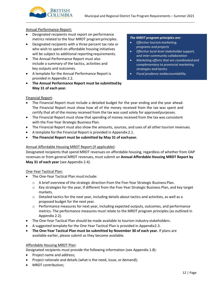

#### Annual Performance Report:

- Designated recipients must report on performance metrics related to the four MRDT programprinciples.
- Designated recipients with a three percent tax rate or who wish to spend on affordable housing initiatives will be subject to additional reporting requirements.
- The Annual Performance Report must also include a summary of the tactics, activities and key outputs and outcomes.
- A template for the Annual Performance Report is provided in Appendix 2.2.
- **The Annual Performance Report must be submittedby May 31 of each year.**

#### *The MRDT program principles are:*

- *Effective tourismmarketing, programs and projects*
- *Effective local-level stakeholdersupport, and inter-community collaboration*
- *Marketing efforts that are coordinated and complementary to provincial marketing strategies and tactics*
- *Fiscal prudence andaccountability.*

#### Financial Report:

- The Financial Report must include a detailed budget for the year ending and the year ahead. The Financial Report must show how all of the money received from the tax was spent and certify that all of the money received from the tax was used solely for approvedpurposes.
- The Financial Report must show that spending of money received from the tax was consistent with the Five-Year Strategic Business Plan.
- The Financial Report must also show the amounts, sources, and uses of all other tourism revenues.
- A template for the Financial Report is provided in Appendix 2.1.
- **The Financial Report must be submitted by May 31 of eachyear.**

### Annual Affordable Housing MRDT Report (if applicable):

Designated recipients that spend MRDT revenues on affordable housing, regardless of whether from OAP revenues or from general MRDT revenues, must submit an **Annual Affordable Housing MRDT Report by May 31 of each year** (see Appendix 2.4).

### One-Year Tactical Plan:

- The One-Year Tactical Plan mustinclude:
	- o A brief overview of the strategic direction from the Five-Year Strategic Business Plan.
	- $\circ$  Key strategies for the year, if different from the Five-Year Strategic Business Plan, and key target markets.
	- $\circ$  Detailed tactics for the next year, including details about tactics and activities, as well as a proposed budget for the next year.
	- $\circ$  Performance measures for next year, including expected outputs, outcomes, and performance metrics. The performance measures must relate to the MRDT program principles (as outlined in Appendix 2.2).
- The One-Year Tactical Plan should be made available to tourism industry stakeholders.
- A suggested template for the One-Year Tactical Plan is provided in Appendix2.3.
- **The One-Year Tactical Plan must be submitted by November 30 of each year.** If plans are available earlier, please submit as they become available.

### Affordable Housing MRDT Plan:

Designated recipients must provide the following information (see Appendix 1.8):

- Project name and address;
- Project rationale and details (what is the need, issue, or demand);
- MRDT contribution;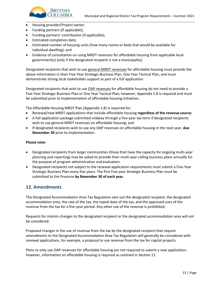- Housing provider/Project owner;
- Funding partners (if applicable);
- Funding partners' contribution (if applicable);
- Estimated completion date;
- Estimated number of housing units (how many rooms or beds that would be available for individual dwelling); and
- Evidence of consultation on using MRDT revenues for affordable housing from applicable local government(s) (only if the designated recipient is not a municipality).

Designated recipients that wish to use general MRDT revenues for affordable housing must provide the above information in their Five-Year Strategic Business Plan, One Year Tactical Plan, and must demonstrate strong local stakeholder support as part of a full application.

Designated recipients that wish to use OAP revenues for affordable housing do not need to provide a Five-Year Strategic Business Plan or One Year Tactical Plan; however, Appendix 1.8 is required and must be submitted prior to implementation of affordable housing initiatives.

The Affordable Housing MRDT Plan (Appendix 1.8) is required for:

- Renewal/new MRDT applications that include affordable housing **regardless of the revenue source**;
- A full application package submitted midway through a five-year tax term if designated recipients wish to use general MRDT revenues on affordable housing; and
- If designated recipients wish to use any OAP revenues on affordable housing in the next year, **due November 30** prior to implementation.

#### **Please note:**

- Designated recipients from larger communities (those that have the capacity for ongoing multi-year planning and reporting) may be asked to provide their multi-year rolling business plans annually for the purpose of program administration and evaluation.
- Designated recipients not subject to the renewal application requirements must submit a Five-Year Strategic Business Plan every five years. The first Five-year Strategic Business Plan must be submitted to the Province **by November 30 of each year.**

# <span id="page-13-0"></span>**12. Amendments**

The Designated Accommodation Area Tax Regulation sets out the designated recipient, the designated accommodation area, the rate of the tax, the repeal date of the tax, and the approved uses of the revenue from the tax for a five-year period. Any other use of the revenue is prohibited.

Requests for interim changes to the designated recipient or the designated accommodation area will not be considered.

Proposed changes in the use of revenue from the tax by the designated recipient that require amendments to the Designated Accommodation Area Tax Regulation will generally be considered with renewal applications, for example, a proposal to use revenue from the tax for capital projects.

Plans to only use OAP revenues for affordable housing are not required to submit a new application; however, information on affordable housing is required as outlined in Section 11.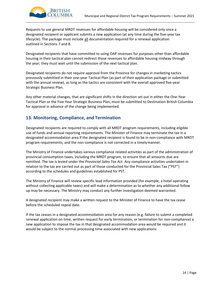

Requests to use general MRDT revenues for affordable housing will be considered only once a designated recipient or applicant submits a new application (at any time during the five-year tax lifecycle). The package must include all documentation required for a renewal application outlined in Sections 7 and 8.

Designated recipients that have committed to using OAP revenues for purposes other than affordable housing in their tactical plan cannot redirect those revenues to affordable housing midway through the year; they must wait until the submission of the next tactical plan.

Designated recipients do not require approval from the Province for changes in marketing tactics previously submitted in their one-year Tactical Plan (as part of their application package or submitted with the annual review), as long as the tactics are consistent with the overall approved five-year Strategic Business Plan.

Any other material changes, that are significant shifts in the direction set out in either the One-Year Tactical Plan or the Five-Year Strategic Business Plan, must be submitted to Destination British Columbia for approval in advance of the change being implemented.

# <span id="page-14-0"></span>**13. Monitoring, Compliance, and Termination**

Designated recipients are required to comply with all MRDT program requirements, including eligible use of funds and annual reporting requirements. The Minister of Finance may terminate the tax in a designated accommodation area if the designated recipient is found to be in non-compliance with MRDT program requirements, and the non-compliance is not corrected in a timelymanner.

The Ministry of Finance undertakes various compliance related activities as part of the administration of provincial consumption taxes, including the MRDT program, to ensure that all amounts due are remitted. The tax is levied under the *Provincial Sales Tax Act*. Any compliance activities undertaken in relation to the tax are carried out as part of those conducted for the Provincial Sales Tax ("PST") according to the schedules and guidelines established for PST.

The Ministry of Finance will review specific lead information provided (for example, a hotel operating without collecting applicable taxes) and will make a determination as to whether any additional follow up may be necessary. The Ministry may conduct any further investigation deemed warranted.

A designated recipient may make a written request to the Minister of Finance to have the tax cease before the scheduled repeal date.

If the tax ceases in a designated accommodation area for any reason (e.g. failure to submit a completed renewal application on time, written request for early termination, or termination for non-compliance) a new application to impose the tax in that designated accommodation area would be required and it would be subject to the normal processing time associated with new applications.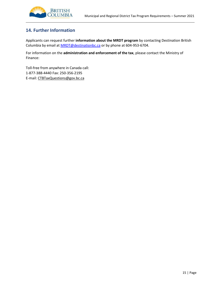

# <span id="page-15-0"></span>**14. Further Information**

Applicants can request further **information about the MRDT program** by contacting Destination British Columbia by email at **MRDT@destinationbc.ca** or by phone at 604-953-6704.

For information on the **administration and enforcement of the tax**, please contact the Ministry of Finance:

Toll-free from anywhere in Canada call: 1-877-388-4440 Fax: 250-356-2195 E-mail: [CTBTaxQuestions@gov.bc.ca](mailto:CTBTaxQuestions@gov.bc.ca)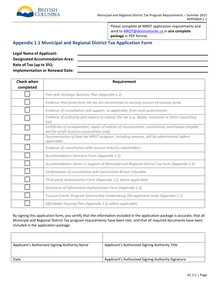

<span id="page-16-0"></span>Please complete all MRDT application requirements and send t[o MRDT@destinationbc.ca i](mailto:MRDT@destinationbc.ca)n **one complete package** in PDF format.

# **Appendix 1.1 Municipal and Regional District Tax Application Form**

| <b>Legal Name of Applicant:</b>        |  |
|----------------------------------------|--|
| <b>Designated Accommodation Area:</b>  |  |
| Rate of Tax (up to 3%):                |  |
| <b>Implementation or Renewal Date:</b> |  |

| <b>Check when</b> | Requirement                                                                                                                                         |  |  |
|-------------------|-----------------------------------------------------------------------------------------------------------------------------------------------------|--|--|
| completed         |                                                                                                                                                     |  |  |
|                   | Five-year Strategic Business Plan (Appendix 1.2)                                                                                                    |  |  |
|                   | Evidence that funds from the tax are incremental to existing sources of tourism funds                                                               |  |  |
|                   | Evidence of consultation and support, as applicable, from local governments                                                                         |  |  |
|                   | Evidence of authority and request to impose the tax (e.g. Bylaw, resolution or letter requesting<br>tax)                                            |  |  |
|                   | Certificate of incorporation, copies of articles of incorporation, constitution, and bylaws (eligible<br>not-for-profit business associations only) |  |  |
|                   | Documentation of how the MRDT program, including revenue, will be administered (where<br>applicable)                                                |  |  |
|                   | Evidence of consultation with tourism industry stakeholders                                                                                         |  |  |
|                   | Accommodation Directory Form (Appendix 1.3)                                                                                                         |  |  |
|                   | Accommodation Sector in Support of Municipal and Regional District Tax Form (Appendix 1.4)                                                          |  |  |
|                   | Confirmation of consultation with Destination British Columbia                                                                                      |  |  |
|                   | Third party Authorization Form (Appendix 1.5, where applicable)                                                                                     |  |  |
|                   | Disclosure of Information Authorization Form (Appendix 1.6)                                                                                         |  |  |
|                   | Tourism Events Program Sponsorship Undertaking (3% applicants only) (Appendix 1.7)                                                                  |  |  |
|                   | Affordable Housing Plan (Appendix 1.8, where applicable)                                                                                            |  |  |

By signing this application form, you certify that the information included in the application package is accurate, that all Municipal and Regional District Tax program requirements have been met, and that all required documents have been included in the application package.

| Applicant's Authorized Signing Authority Name | Applicant's Authorized Signing Authority Title     |
|-----------------------------------------------|----------------------------------------------------|
| Date                                          | Applicant's Authorized Signing Authority Signature |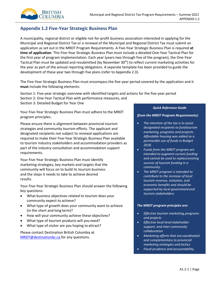# <span id="page-17-0"></span>**Appendix 1.2 Five-Year Strategic Business Plan**

A municipality, regional district or eligible not-for-profit business association interested in applying for the Municipal and Regional District Tax or a renewal of the Municipal and Regional District Tax must submit an application as set out in the MRDT Program Requirements. A Five-Year Strategic Business Plan is required **at time of application**. This Five-Year Strategic Business Plan must include a detailed One-Year Tactical Plan for the first year of program implementation. Each year (years two through five of the program), the One-Year Tactical Plan must be updated and resubmitted (by November 30th) to reflect current marketing activities for the year as part of the annual reporting obligations. A separate template has been provided to guide the development of these year two through five plans (refer to Appendix 2.3).

The Five-Year Strategic Business Plan must encompass the five-year period covered by the application and it **must** include the following elements:

Section 1: Five-year strategic overview with identified targets and actions for the five-year period Section 2: One-Year Tactical Plan with performance measures, and Section 3: Detailed Budget for Year One

Your Five-Year Strategic Business Plan must adhere to the MRDT program principles.

Please ensure there is alignment between provincial tourism strategies and community tourism efforts. The applicant and designated recipients not subject to renewal applications are required to make their Five-Year Strategic Business Plan available to tourism industry stakeholders and accommodation providers as part of the industry consultation and accommodation support requirements.

Your Five-Year Strategic Business Plan must identify marketing strategies, key markets and targets that the community will focus on to build its tourism business and the steps it needs to take to achieve desired results.

Your Five-Year Strategic Business Plan should answer the following key questions:

- What business objectives related to tourism does your community expect to achieve?
- What type of growth does your community want to achieve (in the short and long term)?
- How will your community achieve these objectives? •
- What type of tourism products will you need?
- What type of visitor are you hoping to attract?

Please contact Destination British Columbia at [MRDT@destinationbc.ca f](mailto:MRDT@destinationbc.ca)or any questions.

#### *Quick Reference Guide*

*(from the MRDT Program Requirements):*

- *The intention of the tax is to assist designated recipients to fundtourism marketing, programs and projects. Affordable housing was added as a permissible use of funds in Budget 2018.*
- *Funds from the MRDT program are intended to augment current funding and cannot be used to replaceexisting sources of tourism funding in a community.*
- *The MRDT program is intended to contribute to the increase of local tourism revenue, visitation, and economic benefits and should be supported by local governmentand tourism stakeholders.*

#### *The MRDT program principles are:*

- *Effective tourism marketing,programs and projects*
- *Effective local-levelstakeholder support, and inter-community collaboration*
- *Marketing efforts that arecoordinated and complementary to provincial marketing strategies and tactics*
- *Fiscal prudence and accountability.*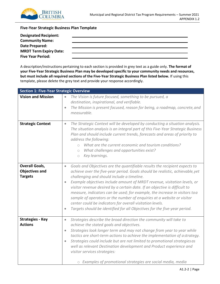

# **Five-Year Strategic Business Plan Template**

| <b>Designated Recipient:</b>  |  |
|-------------------------------|--|
| <b>Community Name:</b>        |  |
| Date Prepared:                |  |
| <b>MRDT Term Expiry Date:</b> |  |
| <b>Five Year Period:</b>      |  |

A description/instructions pertaining to each section is provided in grey text as a guide only. **The format of your Five-Year Strategic Business Plan may be developed specific to your community needs and resources, but must include all required sections of the Five-Year Strategic Business Plan listed below.** If using this template, please delete the grey text and provide your response accordingly.

| <b>Section 1: Five-Year Strategic Overview</b>                   |                                                                                                                                                                                                                                                                                                                                                                                                                                                                                                                                                                                                                                                                                                               |  |  |
|------------------------------------------------------------------|---------------------------------------------------------------------------------------------------------------------------------------------------------------------------------------------------------------------------------------------------------------------------------------------------------------------------------------------------------------------------------------------------------------------------------------------------------------------------------------------------------------------------------------------------------------------------------------------------------------------------------------------------------------------------------------------------------------|--|--|
| <b>Vision and Mission</b>                                        | The Vision is future focused, something to be pursued, a<br>$\bullet$<br>destination, inspirational, and verifiable.<br>The Mission is present focused, reason for being, a roadmap, concrete, and<br>$\bullet$<br>measurable.                                                                                                                                                                                                                                                                                                                                                                                                                                                                                |  |  |
| <b>Strategic Context</b>                                         | The Strategic Context will be developed by conducting a situation analysis.<br>$\bullet$<br>The situation analysis is an integral part of this Five-Year Strategic Business<br>Plan and should include current trends, forecasts and areas of priority to<br>address the following:<br>What are the current economic and tourism conditions?<br>$\bigcap$<br>What challenges and opportunities exist?<br>$\bigcirc$<br>Key learnings.<br>$\circ$                                                                                                                                                                                                                                                              |  |  |
| <b>Overall Goals,</b><br><b>Objectives and</b><br><b>Targets</b> | Goals and Objectives are the quantifiable results the recipient expects to<br>$\bullet$<br>achieve over the five-year period. Goals should be realistic, achievable, yet<br>challenging and should include a timeline.<br>Example objectives include amount of MRDT revenue, visitation levels, or<br>$\bullet$<br>visitor revenue desired by a certain date. If an objective is difficult to<br>measure, indicators can be used; for example, the increase in visitors to a<br>sample of operators or the number of enquiries at a website or visitor<br>center could be indicators for overall visitation levels.<br>Targets should be identified for all Objectives for the five-year period.<br>$\bullet$ |  |  |
| <b>Strategies - Key</b><br><b>Actions</b>                        | Strategies describe the broad direction the community will take to<br>$\bullet$<br>achieve the stated goals and objectives.<br>Strategies look longer term and may not change from year to year while<br>$\bullet$<br>tactics are short-term actions to achieve the implementation of astrategy.<br>Strategies could include but are not limited to promotional strategies as<br>$\bullet$<br>well as relevant Destination development and Product experience and<br>visitor services strategies:<br>o Examples of promotional strategies are social media, media                                                                                                                                             |  |  |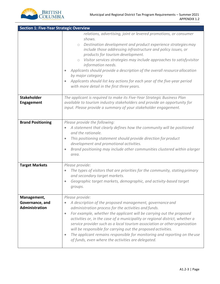

| <b>Section 1: Five-Year Strategic Overview</b>   |                                                                                                                                                                                                                                                                                                                                                                                                                                                                                                                                                                                                         |
|--------------------------------------------------|---------------------------------------------------------------------------------------------------------------------------------------------------------------------------------------------------------------------------------------------------------------------------------------------------------------------------------------------------------------------------------------------------------------------------------------------------------------------------------------------------------------------------------------------------------------------------------------------------------|
|                                                  | relations, advertising, joint or levered promotions, or consumer<br>shows.<br>Destination development and product experience strategies may<br>$\bigcirc$<br>include those addressing infrastructure and policy issues, or<br>products for tourism development.<br>Visitor services strategies may include approaches to satisfyvisitor<br>$\circ$<br>information needs.<br>Applicants should provide a description of the overall resource allocation<br>by major category<br>Applicants should list key actions for each year of the five-year period<br>with more detail in the first three years.   |
| <b>Stakeholder</b><br><b>Engagement</b>          | The applicant is required to make its Five-Year Strategic Business Plan<br>available to tourism industry stakeholders and provide an opportunity for<br>input. Please provide a summary of your stakeholder engagement.                                                                                                                                                                                                                                                                                                                                                                                 |
| <b>Brand Positioning</b>                         | Please provide the following:<br>A statement that clearly defines how the community will be positioned<br>and the rationale.<br>This positioning statement should provide direction for product<br>development and promotional activities.<br>Brand positioning may include other communities clustered within alarger<br>$\bullet$<br>area.                                                                                                                                                                                                                                                            |
| <b>Target Markets</b>                            | Please provide:<br>The types of visitors that are priorities for the community, stating primary<br>$\bullet$<br>and secondary target markets.<br>Geographic target markets, demographic, and activity-based target<br>groups.                                                                                                                                                                                                                                                                                                                                                                           |
| Management,<br>Governance, and<br>Administration | Please provide:<br>A description of the proposed management, governance and<br>administration process for the activities and funds.<br>For example, whether the applicant will be carrying out the proposed<br>$\bullet$<br>activities or, in the case of a municipality or regional district, whether a<br>service provider such as a local tourism association or other organization<br>will be responsible for carrying out the proposed activities.<br>The applicant remains responsible for monitoring and reporting on the use<br>$\bullet$<br>of funds, even where the activities are delegated. |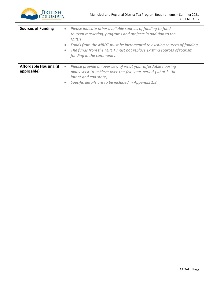

| <b>Sources of Funding</b>                    | Please indicate other available sources of funding to fund<br>$\bullet$<br>tourism marketing, programs and projects in addition to the<br>MRDT.<br>Funds from the MRDT must be incremental to existing sources of funding.<br>The funds from the MRDT must not replace existing sources of tourism<br>funding in the community. |
|----------------------------------------------|---------------------------------------------------------------------------------------------------------------------------------------------------------------------------------------------------------------------------------------------------------------------------------------------------------------------------------|
| <b>Affordable Housing (if</b><br>applicable) | Please provide an overview of what your affordable housing<br>$\bullet$<br>plans seek to achieve over the five-year period (what is the<br>intent and end state).<br>Specific details are to be included in Appendix 1.8.                                                                                                       |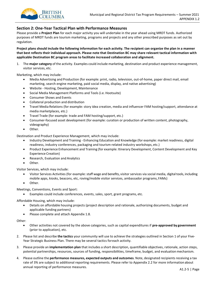

### **Section 2: One-Year Tactical Plan with Performance Measures**

Please provide a **Project Plan** for each major activity you will undertake in the year ahead using MRDT funds. Authorized purposes of MRDT funds are tourism marketing, programs and projects and any other prescribed purposes as set out by regulation.

**Project plans should include the following information for each activity. The recipient can organize the plan in a manner that best reflects their individual approach. Please note that Destination BC may share relevant tactical information with applicable Destination BC program areas to facilitate increased collaboration and alignment.**

1. The **major category** of the activity. Examples could include marketing, destination and product experience management, visitor services, etc.

Marketing, which may include:

- Media Advertising and Production (for example: print, radio, television, out-of-home, paper direct mail, email marketing, search engine marketing, paid social media, display, and native advertising)
- Website Hosting, Development, Maintenance
- Social Media Management Platforms and Tools (i.e. Hootsuite)
- Consumer Shows and Events
- Collateral production and distribution
- Travel Media Relations (for example: story idea creation, media and influencer FAM hosting/support, attendance at media marketplaces, etc.)
- Travel Trade (for example: trade and FAM hosting/support, etc.)
- Consumer-focused asset development (for example: curation or production of written content, photography, videography)
- Other.

Destination and Product Experience Management, which may include:

- Industry Development and Training Enhancing Education and Knowledge (for example: market readiness, digital readiness, industry conferences, packaging and tourism-related industry workshops, etc.)
- Product Experience Enhancement and Training (for example: Itinerary Development, Content Development and Key Experience Creation)
- Research, Evaluation and Analytics
- Other.

Visitor Services, which may include:

- Visitor Services Activities (for example:staff wage and benefits, visitor services via social media, digitaltools, including mobile apps, kiosks, beacons, etc, roving/mobile visitor services, ambassador programs, FAMs)
- Other.

Meetings, Conventions, Events and Sport:

• Examples could include conferences, events, sales, sport, grant programs, etc.

Affordable Housing, which may include:

- Details on affordable housing projects (project description and rationale, authorizing documents, budget and applicable funding partners)
- Please complete and attach Appendix 1.8.

Other:

- Other activities not covered by the above categories, such as capital expenditures if **pre-approved by government** (prior to application), etc.
- 2. Please list and describe **the tactics** your community will use to achieve the strategies outlined in Section 1 of your Five-Year Strategic Business Plan. There may be several tactics foreach activity.
- 3. Please provide an **implementation plan** that includes a short description, quantifiable objectives, rationale, action steps, potential partnerships, resources, sources of funding, responsibilities, timeframe, budget, and evaluationmechanism.
- annual reporting of performance measures. 4. Please outline the **performance measures, expected outputs and outcomes**. Note, designated recipients receiving a tax rate of 3% are subject to additional reporting requirements. Please refer to Appendix 2.2 for more information about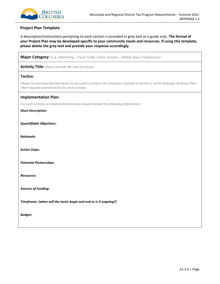

### **Project Plan Template**

A description/instructions pertaining to each section is provided in grey text as a guide only. **The format of your Project Plan may be developed specific to your community needs and resources. If using this template, please delete the grey text and provide your response accordingly.**

**Major Category:** *(e.g., Marketing - Travel Trade; Visitor Services – Mobile Apps; Conferences)*

**Activity Title:** *Please provide the title of activity.*

#### **Tactics:**

*Please list and describe the tactics to be used to achieve the strategies outlined in Section 1 of the Strategic Business Plan. There may be several tactics for each activity.*

#### **Implementation Plan:**

*For each activity, an implementation plan should include the following information:*

*Short Description:*

*Quantifiable Objectives:*

*Rationale:*

*Action Steps:*

*Potential Partnerships:*

*Resources:*

*Sources of Funding:*

*Timeframe: (when will the tactic begin and end or is it ongoing?)* 

*Budget:*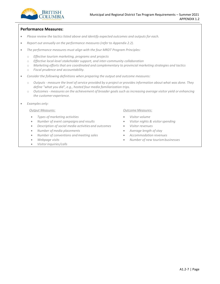

# **Performance Measures:**

- *Please review the tactics listed above and identify expected outcomes and outputs for each.*
- *Report out annually on the performance measures(refer to Appendix 2.2).*
- *The performance measures must align with the four MRDT Program Principles:*
	- o *Effective tourism marketing, programs and projects*
	- o *Effective local-level stakeholder support, and inter-community collaboration*
	- o *Marketing efforts that are coordinated and complementary to provincial marketing strategies and tactics*
	- o *Fiscal prudence and accountability.*
- *Consider the following definitions when preparing the output and outcome measures:*
	- o Outputs measure the level of service provided by a project or provides information about what was done. They *define "what you did", e.g., hosted four media familiarization trips.*
	- o *Outcomes - measures on the achievement of broader goalssuch as increasing average visitor yield or enhancing the customer experience.*
- *Examples only:*

- *Types of marketing activities Visitor volume*
- *Number of event campaigns and results Visitor nights & visitorspending*
- *Description of social media activities and outcomes Visitor revenues*
- *Number of media placements Average length ofstay*
- *Number of conventions andmeeting sales Accommodation revenues*
- 
- *Visitorinquiries/calls*

#### *Output Measures: Outcome Measures:*

- 
- 
- 
- 
- 
- *Webpage visits Number of new tourismbusinesses*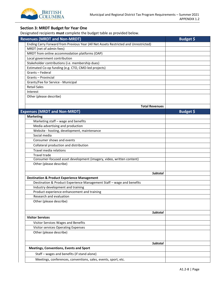

# **Section 3: MRDT Budget for Year One**

Designated recipients **must** complete the budget table as provided below.

|                     | <b>Revenues (MRDT and Non-MRDT)</b>                                                  | Budget \$ |
|---------------------|--------------------------------------------------------------------------------------|-----------|
|                     | Ending Carry Forward from Previous Year (All Net Assets Restricted and Unrestricted) |           |
|                     | MRDT (net of admin fees)                                                             |           |
|                     | MRDT from online accommodation platforms (OAP)                                       |           |
|                     | Local government contribution                                                        |           |
|                     | Stakeholder contributions (i.e. membership dues)                                     |           |
|                     | Estimated Co-op funding (e.g. CTO, CMO-led projects)                                 |           |
|                     | Grants - Federal                                                                     |           |
|                     | Grants - Provincial                                                                  |           |
|                     | Grants/Fee for Service - Municipal                                                   |           |
| <b>Retail Sales</b> |                                                                                      |           |
| Interest            |                                                                                      |           |
|                     | Other (please describe)                                                              |           |
|                     |                                                                                      |           |
|                     | <b>Total Revenues</b>                                                                |           |
|                     | <b>Expenses (MRDT and Non-MRDT)</b>                                                  | Budget \$ |
| <b>Marketing</b>    |                                                                                      |           |
|                     | Marketing staff - wage and benefits                                                  |           |
|                     | Media advertising and production                                                     |           |
|                     | Website - hosting, development, maintenance                                          |           |
|                     | Social media                                                                         |           |
|                     | Consumer shows and events                                                            |           |
|                     | Collateral production and distribution                                               |           |
|                     | Travel media relations                                                               |           |
|                     | <b>Travel trade</b>                                                                  |           |
|                     | Consumer-focused asset development (imagery, video, written content)                 |           |
|                     | Other (please describe)                                                              |           |
|                     |                                                                                      |           |
|                     | <b>Subtotal</b>                                                                      |           |
|                     | <b>Destination &amp; Product Experience Management</b>                               |           |
|                     | Destination & Product Experience Management Staff - wage and benefits                |           |
|                     | Industry development and training                                                    |           |
|                     | Product experience enhancement and training                                          |           |
|                     | Research and evaluation                                                              |           |
|                     | Other (please describe)                                                              |           |
|                     |                                                                                      |           |
|                     | <b>Subtotal</b>                                                                      |           |
|                     | <b>Visitor Services</b>                                                              |           |
|                     | Visitor Services Wages and Benefits                                                  |           |
|                     | Visitor services Operating Expenses                                                  |           |
|                     | Other (please describe)                                                              |           |
|                     |                                                                                      |           |
|                     |                                                                                      |           |
|                     | Subtotal                                                                             |           |
|                     | <b>Meetings, Conventions, Events and Sport</b>                                       |           |
|                     | Staff - wages and benefits (if stand alone)                                          |           |
|                     | Meetings, conferences, conventions, sales, events, sport, etc.                       |           |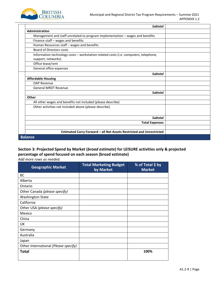

| <b>Subtotal</b>                                                                                            |  |
|------------------------------------------------------------------------------------------------------------|--|
| <b>Administration</b>                                                                                      |  |
| Management and staff unrelated to program implementation - wages and benefits                              |  |
| Finance staff - wages and benefits                                                                         |  |
| Human Resources staff - wages and benefits                                                                 |  |
| <b>Board of Directors costs</b>                                                                            |  |
| Information technology costs - workstation-related costs (i.e. computers, telephone,<br>support, networks) |  |
| Office lease/rent                                                                                          |  |
| General office expenses                                                                                    |  |
| <b>Subtotal</b>                                                                                            |  |
| <b>Affordable Housing</b>                                                                                  |  |
| <b>OAP Revenue</b>                                                                                         |  |
| <b>General MRDT Revenue</b>                                                                                |  |
| <b>Subtotal</b>                                                                                            |  |
| Other                                                                                                      |  |
| All other wages and benefits not included (please describe)                                                |  |
| Other activities not included above (please describe)                                                      |  |
| <b>Subtotal</b>                                                                                            |  |
| <b>Total Expenses</b>                                                                                      |  |
|                                                                                                            |  |
| Estimated Carry Forward - all Net Assets Restricted and Unrestricted                                       |  |
| <b>Balance</b>                                                                                             |  |

# **Section 3: Projected Spend by Market (***broad estimate***) for LEISURE activities only & projected percentage of spend focused on each season (broad estimate)**

*Add more rows as needed.*

| <b>Geographic Market</b>             | <b>Total Marketing Budget</b><br>by Market | % of Total \$ by<br><b>Market</b> |
|--------------------------------------|--------------------------------------------|-----------------------------------|
| BC                                   |                                            |                                   |
| Alberta                              |                                            |                                   |
| Ontario                              |                                            |                                   |
| Other Canada (please specify)        |                                            |                                   |
| <b>Washington State</b>              |                                            |                                   |
| California                           |                                            |                                   |
| Other USA (please specify)           |                                            |                                   |
| Mexico                               |                                            |                                   |
| China                                |                                            |                                   |
| UK                                   |                                            |                                   |
| Germany                              |                                            |                                   |
| Australia                            |                                            |                                   |
| Japan                                |                                            |                                   |
| Other International (Please specify) |                                            |                                   |
| Total                                |                                            | 100%                              |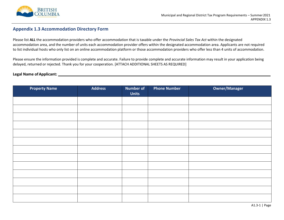

# **Appendix 1.3 Accommodation Directory Form**

Please list **ALL** the accommodation providers who offer accommodation that is taxable under the *Provincial Sales Tax Act* within the designated accommodation area, and the number of units each accommodation provider offers within the designated accommodation area. Applicants are not required to list individual hosts who only list on an online accommodation platform or those accommodation providers who offer less than 4 units of accommodation.

Please ensure the information provided is complete and accurate. Failure to provide complete and accurate information may result in your application being delayed, returned or rejected. Thank you for your cooperation. [ATTACH ADDITIONAL SHEETS AS REQUIRED]

# **Legal Name ofApplicant:**

<span id="page-26-0"></span>

| <b>Property Name</b> | <b>Address</b> | <b>Number of</b><br><b>Units</b> | <b>Phone Number</b> | Owner/Manager |
|----------------------|----------------|----------------------------------|---------------------|---------------|
|                      |                |                                  |                     |               |
|                      |                |                                  |                     |               |
|                      |                |                                  |                     |               |
|                      |                |                                  |                     |               |
|                      |                |                                  |                     |               |
|                      |                |                                  |                     |               |
|                      |                |                                  |                     |               |
|                      |                |                                  |                     |               |
|                      |                |                                  |                     |               |
|                      |                |                                  |                     |               |
|                      |                |                                  |                     |               |
|                      |                |                                  |                     |               |
|                      |                |                                  |                     |               |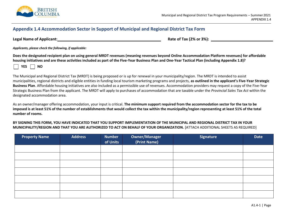

# **Appendix 1.4 Accommodation Sector in Support of Municipal and Regional District Tax Form**

**Legal Name of Applicant: Rate of Tax (2% or 3%): Rate of Tax (2% or 3%): Rate of Tax (2% or 3%):** *Rate of Tax (2% or 3%):* 

<span id="page-27-0"></span>

*Applicants, please check the following, if applicable:*

**Does the designated recipient plan on using general MRDT revenues (meaning revenues beyond Online Accommodation Platform revenues) for affordable housing initiatives and are these activities included as part of the Five-Year Business Plan and One-Year Tactical Plan (including Appendix 1.8)?**

**YES NO**

The Municipal and Regional District Tax (MRDT) is being proposed or is up for renewal in your municipality/region. The MRDT is intended to assist municipalities, regional districts and eligible entities in funding local tourism marketing programs and projects, **as outlined in the applicant's Five-Year Strategic Business Plan**. Affordable housing initiatives are also included as a permissible use of revenues. Accommodation providers may request a copy of the Five-Year Strategic Business Plan from the applicant. The MRDT will apply to purchases of accommodation that are taxable under the *Provincial Sales Tax Act* within the designated accommodation area.

As an owner/manager offering accommodation, your input is critical. **The minimum support required from the accommodation sector for the tax to be imposed is at least 51% of the number of establishments that would collect the tax within the municipality/region representing at least 51% of the total number of rooms.**

**BY SIGNING THIS FORM, YOU HAVE INDICATED THAT YOU SUPPORT IMPLEMENTATION OF THE MUNICIPAL AND REGIONAL DISTRICT TAX IN YOUR MUNICIPALITY/REGION AND THAT YOU ARE AUTHORIZED TO ACT ON BEHALF OF YOUR ORGANIZATION.** [ATTACH ADDITIONAL SHEETS AS REQUIRED]

| <b>Property Name</b> | <b>Address</b> | <b>Number</b><br>of Units | <b>Owner/Manager</b><br>(Print Name) | <b>Signature</b> | <b>Date</b> |
|----------------------|----------------|---------------------------|--------------------------------------|------------------|-------------|
|                      |                |                           |                                      |                  |             |
|                      |                |                           |                                      |                  |             |
|                      |                |                           |                                      |                  |             |
|                      |                |                           |                                      |                  |             |
|                      |                |                           |                                      |                  |             |
|                      |                |                           |                                      |                  |             |
|                      |                |                           |                                      |                  |             |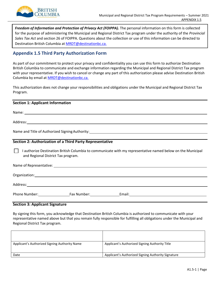

*Freedom of Information and Protection of Privacy Act (FOIPPA).* The personal information on this form is collected for the purpose of administering the Municipal and Regional District Tax program under the authority of the *Provincial Sales Tax Act* and section 26 of FOIPPA. Questions about the collection or use of this information can be directed to Destination British Columbia at [MRDT@destinationbc.ca.](mailto:MRDT@destinationbc.ca)

# <span id="page-28-0"></span>**Appendix 1.5 Third Party Authorization Form**

As part of our commitment to protect your privacy and confidentiality you can use this form to authorize Destination British Columbia to communicate and exchange information regarding the Municipal and Regional District Tax program with your representative. If you wish to cancel or change any part of this authorization please advise Destination British Columbia by email a[t MRDT@destinationbc.ca.](mailto:MRDT@destinationbc.ca)

This authorization does not change your responsibilities and obligations under the Municipal and Regional District Tax Program.

| <b>Section 1: Applicant Information</b>                                                                                                                                                                                        |
|--------------------------------------------------------------------------------------------------------------------------------------------------------------------------------------------------------------------------------|
|                                                                                                                                                                                                                                |
| Address: Andreas Address: Address: Address: Address: Address: Address: Address: Address: Address: Address: Address: Address: Address: Address: Address: Address: Address: Address: Address: Address: Address: Address: Address |
|                                                                                                                                                                                                                                |
|                                                                                                                                                                                                                                |
| Section 2: Authorization of a Third Party Representative                                                                                                                                                                       |
| I authorize Destination British Columbia to communicate with my representative named below on the Municipal<br>and Regional District Tax program.                                                                              |
|                                                                                                                                                                                                                                |
| Organization: contract to the contract of the contract of the contract of the contract of the contract of the contract of the contract of the contract of the contract of the contract of the contract of the contract of the  |
| Address: experience and the contract of the contract of the contract of the contract of the contract of the contract of the contract of the contract of the contract of the contract of the contract of the contract of the co |
|                                                                                                                                                                                                                                |

### **Section 3: Applicant Signature**

By signing this form, you acknowledge that Destination British Columbia is authorized to communicate with your representative named above but that you remain fully responsible for fulfilling all obligations under the Municipal and Regional District Tax program.

| Applicant's Authorized Signing Authority Name | Applicant's Authorized Signing Authority Title     |
|-----------------------------------------------|----------------------------------------------------|
| Date                                          | Applicant's Authorized Signing Authority Signature |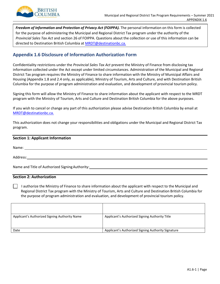

Freedom of Information and Protection of Privacy Act (FOIPPA). The personal information on this form is collected for the purpose of administering the Municipal and Regional District Tax program under the authority of the *Provincial Sales Tax Act* and section 26 of FOIPPA. Questions about the collection or use of this information can be directed to Destination British Columbia a[t MRDT@destinationbc.ca.](mailto:MRDT@destinationbc.ca)

# <span id="page-29-0"></span>**Appendix 1.6 Disclosure of Information Authorization Form**

Confidentiality restrictions under the *Provincial Sales Tax Act* prevent the Ministry of Finance from disclosing tax information collected under the Act except under limited circumstances. Administration of the Municipal and Regional District Tax program requires the Ministry of Finance to share information with the Ministry of Municipal Affairs and Housing (Appendix 1.8 and 2.4 only, as applicable), Ministry of Tourism, Arts and Culture, and with Destination British Columbia for the purpose of program administration and evaluation, and development of provincial tourism policy.

Signing this form will allow the Ministry of Finance to share information about the applicant with respect to the MRDT program with the Ministry of Tourism, Arts and Culture and Destination British Columbia for the above purposes.

If you wish to cancel or change any part of this authorization please advise Destination British Columbia by email at [MRDT@destinationbc.ca.](mailto:MRDT@destinationbc.ca)

This authorization does not change your responsibilities and obligations under the Municipal and Regional District Tax program.

### **Section 1: Applicant Information**

Name:

Address: which is a strategies of the strategies of the strategies of the strategies of the strategies of the strategies of the strategies of the strategies of the strategies of the strategies of the strategies of the stra

Name and Title of Authorized SigningAuthority:

# **Section 2: Authorization**

I authorize the Ministry of Finance to share information about the applicant with respect to the Municipal and Regional District Tax program with the Ministry of Tourism, Arts and Culture and Destination British Columbia for the purpose of program administration and evaluation, and development of provincial tourism policy.

| Applicant's Authorized Signing Authority Name | Applicant's Authorized Signing Authority Title     |
|-----------------------------------------------|----------------------------------------------------|
| Date                                          | Applicant's Authorized Signing Authority Signature |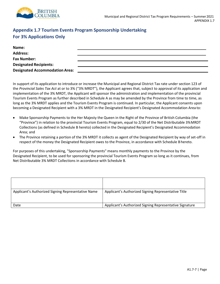

# <span id="page-30-0"></span>**Appendix 1.7 Tourism Events Program Sponsorship Undertaking For 3% Applications Only**

| Name:                                 |  |
|---------------------------------------|--|
| <b>Address:</b>                       |  |
| <b>Fax Number:</b>                    |  |
| <b>Designated Recipients:</b>         |  |
| <b>Designated Accommodation Area:</b> |  |

In support of its application to introduce or increase the Municipal and Regional District Tax rate under section 123 of the *Provincial Sales Tax Act* at or to 3% ("3% MRDT"), the Applicant agrees that, subject to approval of its application and implementation of the 3% MRDT, the Applicant will sponsor the administration and implementation of the provincial Tourism Events Program as further described in Schedule A as may be amended by the Province from time to time, as long as the 3% MRDT applies and the Tourism Events Program is continued. In particular, the Applicant consents upon becoming a Designated Recipient with a 3% MRDT in the Designated Recipient's Designated Accommodation Area to:

- Make Sponsorship Payments to the Her Majesty the Queen in the Right of the Province of British Columbia (the "Province") in relation to the provincial Tourism Events Program, equal to 2/30 of the Net Distributable 3%MRDT Collections (as defined in Schedule B hereto) collected in the Designated Recipient's Designated Accommodation Area; and
- The Province retaining a portion of the 3% MRDT it collects as agent of the Designated Recipient by way of set-off in respect of the money the Designated Recipient owes to the Province, in accordance with Schedule B hereto.

For purposes of this undertaking, "Sponsorship Payments" means monthly payments to the Province by the Designated Recipient, to be used for sponsoring the provincial Tourism Events Program so long as it continues, from Net Distributable 3% MRDT Collections in accordance with Schedule B.

| Applicant's Authorized Signing Representative Name | Applicant's Authorized Signing Representative Title     |
|----------------------------------------------------|---------------------------------------------------------|
|                                                    |                                                         |
| Date                                               | Applicant's Authorized Signing Representative Signature |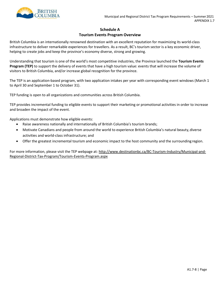

# **Schedule A Tourism Events Program Overview**

British Columbia is an internationally renowned destination with an excellent reputation for maximizing its world-class infrastructure to deliver remarkable experiences for travellers. As a result, BC's tourism sector is a key economic driver, helping to create jobs and keep the province's economy diverse, strong and growing.

Understanding that tourism is one of the world's most competitive industries, the Province launched the **Tourism Events Program (TEP)** to support the delivery of events that have a high tourism value: events that will increase the volume of visitors to British Columbia, and/or increase global recognition for the province.

The TEP is an application-based program, with two application intakes per year with corresponding event windows (March 1 to April 30 and September 1 to October 31).

TEP funding is open to all organizations and communities across British Columbia.

TEP provides incremental funding to eligible events to support their marketing or promotional activities in order to increase and broaden the impact of the event.

Applications must demonstrate how eligible events:

- Raise awareness nationally and internationally of British Columbia's tourism brands;
- Motivate Canadians and people from around the world to experience British Columbia's natural beauty, diverse activities and world-class infrastructure; and
- Offer the greatest incremental tourism and economic impact to the host community and the surrounding region.

For more information, please visit the TEP webpage at[: http://www.destinationbc.ca/BC-Tourism-Industry/Municipal-and-](http://www.destinationbc.ca/BC-Tourism-Industry/Municipal-and-Regional-District-Tax-Program/Tourism-Events-Program.aspx)[Regional-District-Tax-Program/Tourism-Events-Program.aspx](http://www.destinationbc.ca/BC-Tourism-Industry/Municipal-and-Regional-District-Tax-Program/Tourism-Events-Program.aspx)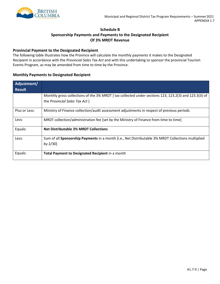

# **Schedule B**

# **Sponsorship Payments and Payments to the Designated Recipient Of 3% MRDT Revenue**

# **Provincial Payment to the Designated Recipient**

The following table illustrates how the Province will calculate the monthly payments it makes to the Designated Recipient in accordance with the *Provincial Sales Tax Act* and with this undertaking to sponsor the provincial Tourism Events Program, as may be amended from time to time by the Province.

# **Monthly Payments to Designated Recipient**

| Adjustment/   |                                                                                                      |
|---------------|------------------------------------------------------------------------------------------------------|
| <b>Result</b> |                                                                                                      |
|               | Monthly gross collections of the 3% MRDT [tax collected under sections 123, 123.2(3) and 123.3(3) of |
|               | the Provincial Sales Tax Act ]                                                                       |
| Plus or Less: | Ministry of Finance collection/audit assessment adjustments in respect of previous periods           |
| Less:         | MRDT collection/administration fee [set by the Ministry of Finance from time to time]                |
| Equals:       | <b>Net Distributable 3% MRDT Collections</b>                                                         |
| Less:         | Sum of all Sponsorship Payments in a month [i.e., Net Distributable 3% MRDT Collections multiplied   |
|               | by $2/30$ ]                                                                                          |
| Equals:       | Total Payment to Designated Recipient in a month                                                     |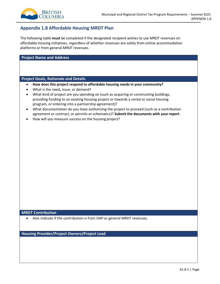

# <span id="page-33-0"></span>**Appendix 1.8 Affordable Housing MRDT Plan**

The following table **must** be completed if the designated recipient wishes to use MRDT revenues on affordable housing initiatives, regardless of whether revenues are solely from online accommodation platforms or from general MRDT revenues.

#### **Project Name and Address**

#### **Project Goals, Rationale and Details**

- **How does this project respond to affordable housing needs in your community?**
- What is the need, issue, or demand?
- What kind of project are you spending on (such as acquiring or constructing buildings, providing funding to an existing housing project or towards a rental or social housing program, or entering into a partnership agreement)?
- What documentation do you have authorizing the project to proceed (such as a contribution agreement or contract, or permits or schematics)? **Submit the documents with yourreport**.
- How will you measure success on the housing project?

#### **MRDT Contribution**

• Also indicate if the contribution is from OAP or general MRDT revenues.

**Housing Provider/Project Owners/Project Lead**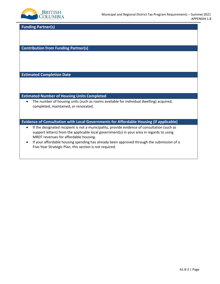

**Funding Partner(s)**

**Contribution from Funding Partner(s)**

**Estimated Completion Date**

**Estimated Number of Housing Units Completed**

• The number of housing units (such as rooms available for individual dwelling) acquired, completed, maintained, or renovated.

**Evidence of Consultation with Local Governments for Affordable Housing (if applicable)**

- If the designated recipient is not a municipality, provide evidence of consultation (such as support letters) from the applicable local government(s) in your area in regards to using MRDT revenues for affordable housing.
- If your affordable housing spending has already been approved through the submission of a Five-Year Strategic Plan, this section is not required.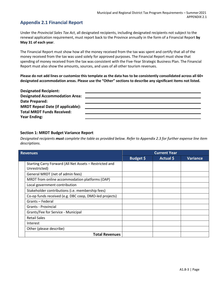# <span id="page-35-0"></span>**Appendix 2.1 Financial Report**

Under the *Provincial Sales Tax Act*, all designated recipients, including designated recipients not subject to the renewal application requirement, must report back to the Province annually in the form of a Financial Report **by May 31 of each year**.

The Financial Report must show how all the money received from the tax was spent and certify that all of the money received from the tax was used solely for approved purposes. The Financial Report must show that spending of money received from the tax was consistent with the Five-Year Strategic Business Plan. The Financial Report must also show the amounts, sources, and uses of all other tourism revenues.

**Please do not add lines or customize this template as the data has to be consistently consolidated across all 60+ designated accommodation areas. Please use the "Other" sections to describe any significant items not listed.**

| <b>Designated Recipient:</b>             |  |
|------------------------------------------|--|
| <b>Designated Accommodation Area:</b>    |  |
| Date Prepared:                           |  |
| <b>MRDT Repeal Date (if applicable):</b> |  |
| <b>Total MRDT Funds Received:</b>        |  |
| <b>Year Ending:</b>                      |  |

# **Section 1: MRDT Budget Variance Report**

*Designated recipients must complete the table as provided below. Refer to Appendix 2.3 for further expense line item descriptions.*

| <b>Revenues</b> |                                                         | <b>Current Year</b> |           |                 |
|-----------------|---------------------------------------------------------|---------------------|-----------|-----------------|
|                 |                                                         | Budget \$           | Actual \$ | <b>Variance</b> |
|                 | Starting Carry Forward (All Net Assets - Restricted and |                     |           |                 |
|                 | Unrestricted)                                           |                     |           |                 |
|                 | General MRDT (net of admin fees)                        |                     |           |                 |
|                 | MRDT from online accommodation platforms (OAP)          |                     |           |                 |
|                 | Local government contribution                           |                     |           |                 |
|                 | Stakeholder contributions (i.e. membership fees)        |                     |           |                 |
|                 | Co-op funds received (e.g. DBC coop, DMO-led projects)  |                     |           |                 |
|                 | Grants - Federal                                        |                     |           |                 |
|                 | Grants - Provincial                                     |                     |           |                 |
|                 | Grants/Fee for Service - Municipal                      |                     |           |                 |
|                 | <b>Retail Sales</b>                                     |                     |           |                 |
|                 | Interest                                                |                     |           |                 |
|                 | Other (please describe)                                 |                     |           |                 |
|                 | <b>Total Revenues</b>                                   |                     |           |                 |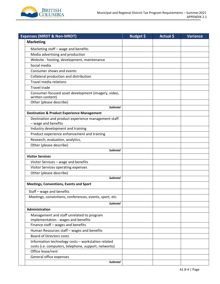

| <b>Expenses (MRDT &amp; Non-MRDT)</b>                                                                      | Budget \$ | Actual \$ | <b>Variance</b> |
|------------------------------------------------------------------------------------------------------------|-----------|-----------|-----------------|
| <b>Marketing</b>                                                                                           |           |           |                 |
| Marketing staff - wage and benefits                                                                        |           |           |                 |
| Media advertising and production                                                                           |           |           |                 |
| Website - hosting, development, maintenance                                                                |           |           |                 |
| Social media                                                                                               |           |           |                 |
| Consumer shows and events                                                                                  |           |           |                 |
| Collateral production and distribution                                                                     |           |           |                 |
| Travel media relations                                                                                     |           |           |                 |
| <b>Travel trade</b>                                                                                        |           |           |                 |
| Consumer-focused asset development (imagery, video,<br>written content)                                    |           |           |                 |
| Other (please describe)                                                                                    |           |           |                 |
| <b>Subtotal</b>                                                                                            |           |           |                 |
| <b>Destination &amp; Product Experience Management</b>                                                     |           |           |                 |
| Destination and product experience management staff<br>- wage and benefits                                 |           |           |                 |
| Industry development and training                                                                          |           |           |                 |
| Product experience enhancement and training                                                                |           |           |                 |
| Research, evaluation, analytics,                                                                           |           |           |                 |
| Other (please describe)                                                                                    |           |           |                 |
| <b>Subtotal</b>                                                                                            |           |           |                 |
| <b>Visitor Services</b>                                                                                    |           |           |                 |
| Visitor Services - wage and benefits                                                                       |           |           |                 |
| Visitor Services operating expenses                                                                        |           |           |                 |
| Other (please describe)                                                                                    |           |           |                 |
| <b>Subtotal</b>                                                                                            |           |           |                 |
| <b>Meetings, Conventions, Events and Sport</b>                                                             |           |           |                 |
| Staff - wage and benefits                                                                                  |           |           |                 |
| Meetings, conventions, conferences, events, sport, etc.                                                    |           |           |                 |
| <b>Subtotal</b>                                                                                            |           |           |                 |
| Administration                                                                                             |           |           |                 |
| Management and staff unrelated to program<br>implementation - wages and benefits                           |           |           |                 |
| Finance staff - wages and benefits                                                                         |           |           |                 |
| Human Resources staff - wages and benefits                                                                 |           |           |                 |
| <b>Board of Directors costs</b>                                                                            |           |           |                 |
| Information technology costs - workstation related<br>costs (i.e. computers, telephone, support, networks) |           |           |                 |
| Office lease/rent                                                                                          |           |           |                 |
| General office expenses                                                                                    |           |           |                 |
| <b>Subtotal</b>                                                                                            |           |           |                 |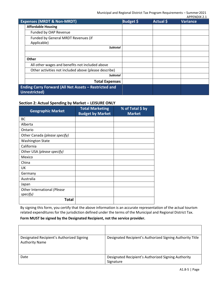|                                                                               | <b>Expenses (MRDT &amp; Non-MRDT)</b>                 | Budget \$ | Actual \$ | , ,, , ,, , ,, , , <u>,</u> , <u>,</u><br><b>Variance</b> |
|-------------------------------------------------------------------------------|-------------------------------------------------------|-----------|-----------|-----------------------------------------------------------|
|                                                                               | <b>Affordable Housing</b>                             |           |           |                                                           |
|                                                                               | Funded by OAP Revenue                                 |           |           |                                                           |
|                                                                               | Funded by General MRDT Revenues (if<br>Applicable)    |           |           |                                                           |
|                                                                               | <b>Subtotal</b>                                       |           |           |                                                           |
|                                                                               |                                                       |           |           |                                                           |
|                                                                               | <b>Other</b>                                          |           |           |                                                           |
|                                                                               | All other wages and benefits not included above       |           |           |                                                           |
|                                                                               | Other activities not included above (please describe) |           |           |                                                           |
|                                                                               | <b>Subtotal</b>                                       |           |           |                                                           |
|                                                                               | <b>Total Expenses</b>                                 |           |           |                                                           |
| <b>Ending Carry Forward (All Net Assets - Restricted and</b><br>Unrestricted) |                                                       |           |           |                                                           |

# **Section 2: Actual Spending by Market – LEISURE ONLY**

| <b>Geographic Market</b>      | <b>Total Marketing</b><br><b>Budget by Market</b> | % of Total \$ by<br><b>Market</b> |
|-------------------------------|---------------------------------------------------|-----------------------------------|
| <b>BC</b>                     |                                                   |                                   |
| Alberta                       |                                                   |                                   |
| Ontario                       |                                                   |                                   |
| Other Canada (please specify) |                                                   |                                   |
| <b>Washington State</b>       |                                                   |                                   |
| California                    |                                                   |                                   |
| Other USA (please specify)    |                                                   |                                   |
| Mexico                        |                                                   |                                   |
| China                         |                                                   |                                   |
| UK                            |                                                   |                                   |
| Germany                       |                                                   |                                   |
| Australia                     |                                                   |                                   |
| Japan                         |                                                   |                                   |
| Other International (Please   |                                                   |                                   |
| specify)                      |                                                   |                                   |
| Total                         |                                                   |                                   |

By signing this form, you certify that the above information is an accurate representation of the actual tourism related expenditures for the jurisdiction defined under the terms of the Municipal and Regional District Tax.

# **Form MUST be signed by the Designated Recipient, not the service provider.**

| Designated Recipient's Authorized Signing<br><b>Authority Name</b> | Designated Recipient's Authorized Signing Authority Title        |
|--------------------------------------------------------------------|------------------------------------------------------------------|
| Date                                                               | Designated Recipient's Authorized Signing Authority<br>Signature |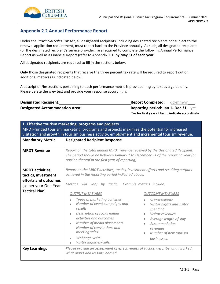

# <span id="page-38-0"></span>**Appendix 2.2 Annual Performance Report**

Under the *Provincial Sales Tax* Act, all designated recipients, including designated recipients not subject to the renewal application requirement, must report back to the Province annually. As such, all designated recipients (or the designated recipient's service provider), are required to complete the following Annual Performance Report as well as a Financial Report (refer to Appendix 2.1) **by May 31 of each year**.

**All** designated recipients are required to fill in the sections below.

**Only** those designated recipients that receive the three percent tax rate will be required to report out on additional metrics (as indicated below).

A description/instructions pertaining to each performance metric is provided in grey text as a guide only. Please delete the grey text and provide your response accordingly.

| <b>Designated Recipient:</b>          | <b>Report Completed:</b> dd-mm-yr                |  |  |
|---------------------------------------|--------------------------------------------------|--|--|
| <b>Designated Accommodation Area:</b> | Reporting period: Jan 1- Dec 31 $-\gamma r^*$    |  |  |
|                                       | *or for first year of term, indicate accordingly |  |  |

| 1. Effective tourism marketing, programs and projects<br>MRDT-funded tourism marketing, programs and projects maximize the potential for increased<br>visitation and growth in tourism business activity, employment and incremental tourism revenue. |                                                                                                                                                                                                                                                                                                                   |                                                                                                                                                                                                                     |  |
|-------------------------------------------------------------------------------------------------------------------------------------------------------------------------------------------------------------------------------------------------------|-------------------------------------------------------------------------------------------------------------------------------------------------------------------------------------------------------------------------------------------------------------------------------------------------------------------|---------------------------------------------------------------------------------------------------------------------------------------------------------------------------------------------------------------------|--|
| <b>Mandatory Metric</b>                                                                                                                                                                                                                               | <b>Designated Recipient Response</b>                                                                                                                                                                                                                                                                              |                                                                                                                                                                                                                     |  |
| <b>MRDT Revenue</b>                                                                                                                                                                                                                                   | Report on the total annual MRDT revenue received by the Designated Recipient.<br>The period should be between January 1 to December 31 of the reporting year (or<br>portion thereof in the first year of reporting).                                                                                              |                                                                                                                                                                                                                     |  |
| <b>MRDT</b> activities,<br>tactics, investment<br>efforts and outcomes<br>(as per your One-Year<br><b>Tactical Plan)</b>                                                                                                                              | Report on the MRDT activities, tactics, investment efforts and resulting outputs<br>achieved in the reporting period indicated above.<br>vary by tactic. Example metrics include:<br>Metrics will                                                                                                                 |                                                                                                                                                                                                                     |  |
|                                                                                                                                                                                                                                                       | <b>OUTPUT MEASURES</b><br>Types of marketing activities<br>Number of event campaigns and<br>results<br>Description of social media<br>$\bullet$<br>activities and outcomes<br>Number of media placements<br>$\bullet$<br>Number of conventions and<br>meeting sales<br>Webpage visits<br>Visitor inquiries/calls. | <b>OUTCOME MEASURES</b><br>Visitor volume<br>Visitor nights and visitor<br>$\bullet$<br>spending<br>Visitor revenues<br>Average length of stay<br>Accommodation<br>revenues<br>Number of new tourism<br>businesses. |  |
| <b>Key Learnings</b>                                                                                                                                                                                                                                  | Please provide an assessment of effectiveness of tactics, describe what worked,<br>what didn't and lessons learned.                                                                                                                                                                                               |                                                                                                                                                                                                                     |  |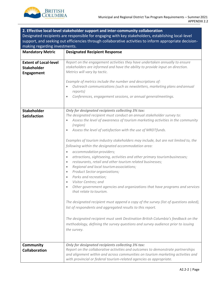

| 2. Effective local-level stakeholder support and inter-community collaboration                                                                                                                               |                                                                                                                                                                                                                                                                                                                                                                                                                                                                                                                                                                                                                                                                                                                                                                                                                                                                                                                                                                                                                                                                                                                                                                                                                                                                                       |  |
|--------------------------------------------------------------------------------------------------------------------------------------------------------------------------------------------------------------|---------------------------------------------------------------------------------------------------------------------------------------------------------------------------------------------------------------------------------------------------------------------------------------------------------------------------------------------------------------------------------------------------------------------------------------------------------------------------------------------------------------------------------------------------------------------------------------------------------------------------------------------------------------------------------------------------------------------------------------------------------------------------------------------------------------------------------------------------------------------------------------------------------------------------------------------------------------------------------------------------------------------------------------------------------------------------------------------------------------------------------------------------------------------------------------------------------------------------------------------------------------------------------------|--|
| Designated recipients are responsible for engaging with key stakeholders, establishing local-level<br>support, and seeking out efficiencies through collaborative activities to inform appropriate decision- |                                                                                                                                                                                                                                                                                                                                                                                                                                                                                                                                                                                                                                                                                                                                                                                                                                                                                                                                                                                                                                                                                                                                                                                                                                                                                       |  |
| making regarding investments.                                                                                                                                                                                |                                                                                                                                                                                                                                                                                                                                                                                                                                                                                                                                                                                                                                                                                                                                                                                                                                                                                                                                                                                                                                                                                                                                                                                                                                                                                       |  |
| <b>Mandatory Metric</b>                                                                                                                                                                                      | <b>Designated Recipient Response</b>                                                                                                                                                                                                                                                                                                                                                                                                                                                                                                                                                                                                                                                                                                                                                                                                                                                                                                                                                                                                                                                                                                                                                                                                                                                  |  |
| <b>Extent of Local-level</b><br><b>Stakeholder</b><br>Engagement                                                                                                                                             | Report on the engagement activities they have undertaken annually to ensure<br>stakeholders are informed and have the ability to provide input on direction.<br>Metrics will vary by tactic.                                                                                                                                                                                                                                                                                                                                                                                                                                                                                                                                                                                                                                                                                                                                                                                                                                                                                                                                                                                                                                                                                          |  |
|                                                                                                                                                                                                              | Example of metrics include the number and descriptions of:<br>Outreach communications (such as newsletters, marketing plans and annual<br>reports)<br>Conferences, engagement sessions, or annual generalmeetings.                                                                                                                                                                                                                                                                                                                                                                                                                                                                                                                                                                                                                                                                                                                                                                                                                                                                                                                                                                                                                                                                    |  |
| <b>Stakeholder</b><br><b>Satisfaction</b>                                                                                                                                                                    | <b>Only for designated recipients collecting 3% tax:</b><br>The designated recipient must conduct an annual stakeholder survey to:<br>Assess the level of awareness of tourism marketing activities in the community<br>(region)<br>Assess the level of satisfaction with the use of MRDTfunds.<br>Examples of tourism industry stakeholders may include, but are not limited to, the<br>following within the designated accommodation area:<br>accommodation providers;<br>$\bullet$<br>attractions, sightseeing, activities and other primary tourismbusinesses;<br>$\bullet$<br>restaurants, retail and other tourism related businesses;<br>$\bullet$<br>Regional and local tourism associations;<br>$\bullet$<br>Product Sector organizations;<br>Parks and recreation;<br>$\bullet$<br>Visitor Centres; and<br>$\bullet$<br>Other government agencies and organizations that have programs and services<br>that relate to tourism.<br>The designated recipient must append a copy of the survey (list of questions asked),<br>list of respondents and aggregated results to this report.<br>The designated recipient must seek Destination British Columbia's feedback on the<br>methodology, defining the survey questions and survey audience prior to issuing<br>the survey. |  |
| Community<br><b>Collaboration</b>                                                                                                                                                                            | <b>Only for designated recipients collecting 3% tax:</b><br>Report on the collaborative activities and outcomes to demonstrate partnerships<br>and alignment within and across communities on tourism marketing activities and<br>with provincial or federal tourism-related agencies as appropriate.                                                                                                                                                                                                                                                                                                                                                                                                                                                                                                                                                                                                                                                                                                                                                                                                                                                                                                                                                                                 |  |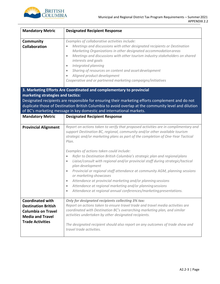

| <b>Mandatory Metric</b>                                                                                                                  | <b>Designated Recipient Response</b>                                                                                                                                                                                                                                                                                                                                                                                                                                                                                                                                                                    |  |
|------------------------------------------------------------------------------------------------------------------------------------------|---------------------------------------------------------------------------------------------------------------------------------------------------------------------------------------------------------------------------------------------------------------------------------------------------------------------------------------------------------------------------------------------------------------------------------------------------------------------------------------------------------------------------------------------------------------------------------------------------------|--|
| Community<br><b>Collaboration</b>                                                                                                        | Examples of collaborative activities include:<br>Meetings and discussions with other designated recipients or Destination<br>Marketing Organizations in other designated accommodation areas<br>Meetings and discussions with other tourism industry stakeholders on shared<br>$\bullet$<br>interests and goals<br>Integrated planning<br>$\bullet$<br>Sharing of resources on content and asset development<br>$\bullet$<br>Aligned product development<br>$\bullet$<br>Cooperative and or partnered marketing campaigns/initiatives                                                                   |  |
| marketing strategies and tactics:                                                                                                        | 3. Marketing Efforts Are Coordinated and complementary to provincial                                                                                                                                                                                                                                                                                                                                                                                                                                                                                                                                    |  |
|                                                                                                                                          | Designated recipients are responsible for ensuring their marketing efforts complement and do not                                                                                                                                                                                                                                                                                                                                                                                                                                                                                                        |  |
|                                                                                                                                          | duplicate those of Destination British Columbia to avoid overlap at the community level and dilution                                                                                                                                                                                                                                                                                                                                                                                                                                                                                                    |  |
|                                                                                                                                          | of BC's marketing message in key domestic and international markets.                                                                                                                                                                                                                                                                                                                                                                                                                                                                                                                                    |  |
| <b>Mandatory Metric</b>                                                                                                                  | <b>Designated Recipient Response</b>                                                                                                                                                                                                                                                                                                                                                                                                                                                                                                                                                                    |  |
| <b>Provincial Alignment</b>                                                                                                              | Report on actions taken to verify that proposed activities are in complimentary and<br>support Destination BC, regional, community and/or other available tourism<br>strategic and/or marketing plans as part of the completion of One-Year Tactical<br>Plan.                                                                                                                                                                                                                                                                                                                                           |  |
|                                                                                                                                          | Examples of actions taken could include:<br>Refer to Destination British Columbia's strategic plan and regional plans<br>$\bullet$<br>Liaise/consult with regional and/or provincial staff during strategic/tactical<br>$\bullet$<br>plan development<br>Provincial or regional staff attendance at community AGM, planning sessions<br>$\bullet$<br>or marketing showcases<br>Attendance at provincial marketing and/or planning sessions<br>$\bullet$<br>Attendance at regional marketing and/or planning sessions<br>$\bullet$<br>Attendance at regional annual conferences/marketing presentations. |  |
| <b>Coordinated with</b><br><b>Destination British</b><br><b>Columbia on Travel</b><br><b>Media and Travel</b><br><b>Trade Activities</b> | Only for designated recipients collecting 3% tax:<br>Report on actions taken to ensure travel trade and travel media activities are<br>coordinated with Destination BC's overarching marketing plan, and similar<br>activities undertaken by other designated recipients.<br>The designated recipient should also report on any outcomes of trade show and<br>travel trade activities.                                                                                                                                                                                                                  |  |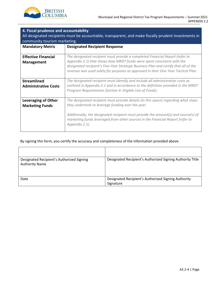

| 4. Fiscal prudence and accountability<br>All designated recipients must be accountable, transparent, and make fiscally prudent investments in<br>community tourism marketing. |                                                                                                                                                                                                                                                                                                                                     |  |  |
|-------------------------------------------------------------------------------------------------------------------------------------------------------------------------------|-------------------------------------------------------------------------------------------------------------------------------------------------------------------------------------------------------------------------------------------------------------------------------------------------------------------------------------|--|--|
| <b>Mandatory Metric</b>                                                                                                                                                       | <b>Designated Recipient Response</b>                                                                                                                                                                                                                                                                                                |  |  |
| <b>Effective Financial</b><br><b>Management</b>                                                                                                                               | The designated recipient must provide a completed Financial Report (refer to<br>Appendix 2.1) that shows how MRDT funds were spent consistent with the<br>designated recipient's Five-Year Strategic Business Plan and certify that all of the<br>revenue was used solely for purposes as approved in their One-Year Tactical Plan. |  |  |
| <b>Streamlined</b><br><b>Administrative Costs</b>                                                                                                                             | The designated recipient must identify and include all administrative costs as<br>outlined in Appendix 2.1 and in accordance to the definition provided in the MRDT<br>Program Requirements (Section 4: Eligible Use of Funds).                                                                                                     |  |  |
| <b>Leveraging of Other</b><br><b>Marketing Funds</b>                                                                                                                          | The designated recipient must provide details (in this space) regarding what steps<br>they undertook to leverage funding over the year.<br>Additionally, the designated recipient must provide the amount(s) and source(s) of<br>marketing funds leveraged from other sources in the Financial Report (refer to<br>Appendix 2.1).   |  |  |

#### By signing this form, you certify the accuracy and completeness of the information provided above.

| Designated Recipient's Authorized Signing<br><b>Authority Name</b> | Designated Recipient's Authorized Signing Authority Title        |
|--------------------------------------------------------------------|------------------------------------------------------------------|
| Date                                                               | Designated Recipient's Authorized Signing Authority<br>Signature |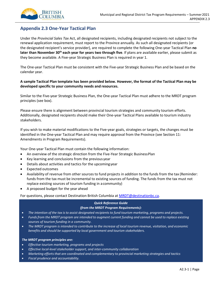

# <span id="page-42-0"></span>**Appendix 2.3 One-Year Tactical Plan**

Under the *Provincial Sales Tax* Act, all designated recipients, including designated recipients not subject to the renewal application requirement, must report to the Province annually. As such all designated recipients (or the designated recipient's service provider), are required to complete the following One-year Tactical Plan **no later than November 30th each year for years two through five**. If plans are available earlier, please submit as they become available. A Five-year Strategic Business Plan is required in year 1.

The One-year Tactical Plan must be consistent with the Five-year Strategic Business Plan and be based on the calendar year.

# A sample Tactical Plan template has been provided below. However, the format of the Tactical Plan may be **developed specific to your community needs and resources.**

Similar to the Five-year Strategic Business Plan, the One-year Tactical Plan must adhere to the MRDT program principles (see box).

Please ensure there is alignment between provincial tourism strategies and community tourism efforts. Additionally, designated recipients should make their One-year Tactical Plans available to tourism industry stakeholders.

If you wish to make material modifications to the Five-year goals, strategies or targets, the changes must be identified in the One-year Tactical Plan and may require approval from the Province (see Section 11: Amendments in Program Requirements).

Your One-year Tactical Plan must contain the following information:

- An overview of the strategic direction from the Five-Year Strategic BusinessPlan
- Key learning and conclusions from the previous year
- Details about activities and tactics for the upcomingyear
- Expected outcomes
- Availability of revenue from other sources to fund projects in addition to the funds from the tax (Reminder: funds from the tax must be incremental to existing sources of funding. The funds from the tax must not replace existing sources of tourism funding in acommunity)
- A proposed budget for the year ahead

For questions, please contact Destination British Columbia at [MRDT@destinationbc.ca.](mailto:MRDT@destinationbc.ca)

# *Quick Reference Guide*

# *(from the MRDT Program Requirements):*

- *The intention of the tax isto assist designated recipients to fund tourism marketing, programs and projects.*
- Funds from the MRDT program are intended to augment current funding and cannot be used to replace existing *sources of tourism funding in a community.*
- The MRDT program is intended to contribute to the increase of local tourism revenue, visitation, and economic *benefits and should be supported by local government and tourism stakeholders.*

#### *The MRDT program principles are:*

- *Effective tourism marketing, programs and projects*
- *Effective local-level stakeholder support, and inter-community collaboration*
- *Marketing effortsthat are coordinated and complementary to provincial marketing strategies and tactics*
- *Fiscal prudence and accountability.*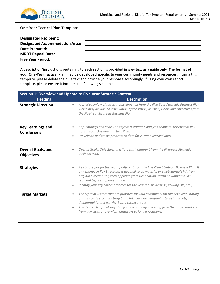

# **One-Year Tactical Plan Template**

| <b>Designated Recipient:</b>          |  |
|---------------------------------------|--|
| <b>Designated Accommodation Area:</b> |  |
| Date Prepared:                        |  |
| <b>MRDT Repeal Date:</b>              |  |
| <b>Five Year Period:</b>              |  |

A description/instructions pertaining to each section is provided in grey text as a guide only. **The format of your One-Year Tactical Plan may be developed specific to your community needs and resources.** If using this template, please delete the blue text and provide your response accordingly. If using your own report template, please ensure it includes the following sections:

| Section 1: Overview and Update to Five-year Strategic Context |                                                                                                                                                                                                                                                                                                                                                                                                                      |  |  |
|---------------------------------------------------------------|----------------------------------------------------------------------------------------------------------------------------------------------------------------------------------------------------------------------------------------------------------------------------------------------------------------------------------------------------------------------------------------------------------------------|--|--|
| <b>Heading</b>                                                | <b>Description</b>                                                                                                                                                                                                                                                                                                                                                                                                   |  |  |
| <b>Strategic Direction</b>                                    | A brief overview of the strategic direction from the Five-Year Strategic Business Plan,<br>$\bullet$<br>which may include an articulation of the Vision, Mission, Goals and Objectives from<br>the Five-Year Strategic Business Plan.                                                                                                                                                                                |  |  |
| <b>Key Learnings and</b><br><b>Conclusions</b>                | Key learnings and conclusions from a situation analysis or annual review that will<br>$\bullet$<br>inform your One-Year Tactical Plan.<br>Provide an update on progress to date for current yearactivities.<br>$\bullet$                                                                                                                                                                                             |  |  |
| <b>Overall Goals, and</b><br><b>Objectives</b>                | Overall Goals, Objectives and Targets, if different from the Five-year Strategic<br>$\bullet$<br><b>Business Plan.</b>                                                                                                                                                                                                                                                                                               |  |  |
| <b>Strategies</b>                                             | Key Strategies for the year, if different from the Five-Year Strategic Business Plan. If<br>$\bullet$<br>any change in Key Strategies is deemed to be material or a substantial shift from<br>original direction set, then approval from Destination British Columbia will be<br>required before implementation.<br>Identify your key content themes for the year (i.e. wilderness, touring, ski, etc.)<br>$\bullet$ |  |  |
| <b>Target Markets</b>                                         | The types of visitors that are priorities for your community for the next year, stating<br>$\bullet$<br>primary and secondary target markets. Include geographic target markets,<br>demographic, and activity-based target groups.<br>The desired length of stay that your community is seeking from the target markets,<br>$\bullet$<br>from day visits or overnight getaways to longervacations.                   |  |  |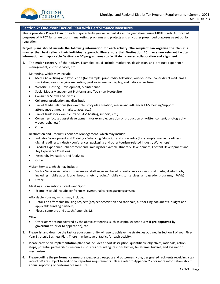

#### **Section 2: One-Year Tactical Plan with Performance Measures**

Please provide a **Project Plan** for each major activity you will undertake in the year ahead using MRDT funds. Authorized purposes of MRDT funds are tourism marketing, programs and projects and any other prescribed purposes as set out by regulation.

**Project plans should include the following information for each activity. The recipient can organize the plan in a manner that best reflects their individual approach. Please note that Destination BC may share relevant tactical information with applicable Destination BC program areas to facilitate increased collaboration and alignment.**

1. The **major category** of the activity. Examples could include marketing, destination and product experience management, visitor services, etc.

Marketing, which may include:

- Media Advertising and Production (for example: print, radio, television, out-of-home, paper direct mail, email marketing, search engine marketing, paid social media, display, and native advertising)
- Website Hosting, Development, Maintenance
- Social Media Management Platforms and Tools (i.e. Hootsuite)
- Consumer Shows and Events
- Collateral production and distribution
- Travel MediaRelations (for example: story idea creation, media and influencer FAM hosting/support, attendance at media marketplaces, etc.)
- Travel Trade (for example: trade FAM hosting/support, etc.)
- Consumer-focused asset development (for example: curation or production of written content, photography, videography, etc.)
- Other.

Destination and Product Experience Management, which may include:

- Industry Development and Training Enhancing Education and Knowledge (for example: market readiness, digital readiness, industry conferences, packaging and other tourism-related IndustryWorkshops)
- Product Experience Enhancement and Training (for example: Itinerary Development, Content Development and Key Experience Creation)
- Research, Evaluation, and Analytics
- Other.

Visitor Services, which may include:

- Visitor Services Activities (for example: staff wage and benefits, visitor services via social media, digital tools, including mobile apps, kiosks, beacons, etc., , roving/mobile visitor services, ambassador programs, , FAMs)
- Other.

Meetings, Conventions, Events and Sport:

Examples could include conferences, events, sales, sport, grantprograms, etc.

Affordable Housing, which may include:

- Details on affordable housing projects (project description and rationale, authorizing documents, budget and applicable funding partners).
- Please complete and attach Appendix 1.8.

Other:

- Other activities not covered by the above categories, such as capital expenditures if **pre-approved by government** (prior to application), etc.
- 2. Please list and describe **the tactics** your community will use to achieve the strategies outlined in Section 1 of your Five-Year Strategic Business Plan. There may be several tactics for each activity.
- 3. Please provide an **implementation plan** that includes a short description, quantifiable objectives, rationale, action steps, potential partnerships, resources, sources of funding, responsibilities, timeframe, budget, and evaluation mechanism.
- 4. Please outline the **performance measures, expected outputs and outcomes**. Note, designated recipients receiving a tax rate of 3% are subject to additional reporting requirements. Please refer to Appendix 2.2 for more information about annual reporting of performance measures.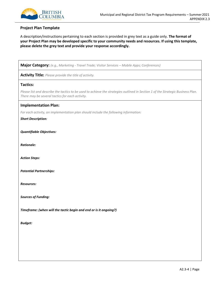

#### **Project Plan Template**

A description/instructions pertaining to each section is provided in grey text as a guide only. **The format of your Project Plan may be developed specific to your community needs and resources. If using this template, please delete the grey text and provide your response accordingly.**

**Major Category:** *(e.g., Marketing - Travel Trade; Visitor Services – Mobile Apps; Conferences)*

**Activity Title:** *Please provide the title of activity.*

#### **Tactics:**

*Please list and describe the tactics to be used to achieve the strategies outlined in Section 1 of the Strategic Business Plan. There may be several tactics for each activity.*

#### **Implementation Plan:**

*For each activity, an implementation plan should include the following information:*

*Short Description:*

*Quantifiable Objectives:*

*Rationale:*

*Action Steps:*

*Potential Partnerships:*

*Resources:*

*Sources of Funding:*

*Timeframe: (when will the tactic begin and end or is it ongoing?)* 

*Budget:*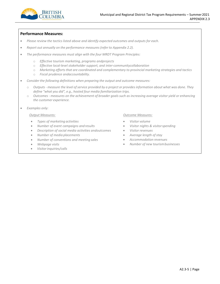

# **Performance Measures:**

- *Please review the tactics listed above and identify expected outcomes and outputs for each.*
- *Report out annually on the performance measures (refer to Appendix 2.2).*
- *The performance measures must align with the four MRDT Program Principles:*
	- o *Effective tourism marketing, programs andprojects*
	- o *Effective local-level stakeholder support, and inter-communitycollaboration*
	- o *Marketing effortsthat are coordinated and complementary to provincial marketing strategies and tactics*
	- o *Fiscal prudence andaccountability.*
- *Consider the following definitions when preparing the output and outcome measures:*
	- o Outputs measure the level of service provided by a project or provides information about what was done. They *define "what you did", e.g., hosted four media familiarization trips.*
	- o Outcomes measures on the achievement of broader goals such as increasing average visitor yield or enhancing *the customer experience.*
- *Examples only:*

#### *Output Measures:*

- *Types of marketing activities*
- *Number of event campaigns and results*
- *Description of social media activities andoutcomes*
- *Number of media placements*
- *Number of conventions and meeting sales*
- *Webpage visits*
- *Visitorinquiries/calls*

#### *Outcome Measures:*

- *Visitor volume*
- *Visitor nights & visitorspending*
- *Visitor revenues*
- *Average length ofstay*
- *Accommodation revenues*
- *Number of new tourismbusinesses*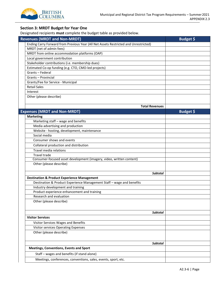

# **Section 3: MRDT Budget for Year One**

Designated recipients **must** complete the budget table as provided below.

| <b>Revenues (MRDT and Non-MRDT)</b>                                                  | <b>Budget \$</b> |
|--------------------------------------------------------------------------------------|------------------|
| Ending Carry Forward from Previous Year (All Net Assets Restricted and Unrestricted) |                  |
| MRDT (net of admin fees)                                                             |                  |
| MRDT from online accommodation platforms (OAP)                                       |                  |
| Local government contribution                                                        |                  |
| Stakeholder contributions (i.e. membership dues)                                     |                  |
| Estimated Co-op funding (e.g. CTO, CMO-led projects)                                 |                  |
| Grants - Federal                                                                     |                  |
| <b>Grants - Provincial</b>                                                           |                  |
| Grants/Fee for Service - Municipal                                                   |                  |
| <b>Retail Sales</b>                                                                  |                  |
| Interest                                                                             |                  |
| Other (please describe)                                                              |                  |
|                                                                                      |                  |
| <b>Total Revenues</b>                                                                |                  |
| <b>Expenses (MRDT and Non-MRDT)</b>                                                  | Budget \$        |
| <b>Marketing</b>                                                                     |                  |
| Marketing staff - wage and benefits                                                  |                  |
| Media advertising and production                                                     |                  |
| Website - hosting, development, maintenance                                          |                  |
| Social media                                                                         |                  |
| Consumer shows and events                                                            |                  |
| Collateral production and distribution                                               |                  |
| Travel media relations                                                               |                  |
| Travel trade                                                                         |                  |
| Consumer-focused asset development (imagery, video, written content)                 |                  |
| Other (please describe)                                                              |                  |
|                                                                                      |                  |
| <b>Subtotal</b>                                                                      |                  |
| <b>Destination &amp; Product Experience Management</b>                               |                  |
| Destination & Product Experience Management Staff - wage and benefits                |                  |
| Industry development and training                                                    |                  |
| Product experience enhancement and training                                          |                  |
| Research and evaluation                                                              |                  |
| Other (please describe)                                                              |                  |
|                                                                                      |                  |
| <b>Subtotal</b>                                                                      |                  |
| <b>Visitor Services</b>                                                              |                  |
|                                                                                      |                  |
| Visitor Services Wages and Benefits                                                  |                  |
| Visitor services Operating Expenses                                                  |                  |
| Other (please describe)                                                              |                  |
|                                                                                      |                  |
| <b>Subtotal</b>                                                                      |                  |
| <b>Meetings, Conventions, Events and Sport</b>                                       |                  |
| Staff - wages and benefits (if stand alone)                                          |                  |
| Meetings, conferences, conventions, sales, events, sport, etc.                       |                  |
|                                                                                      |                  |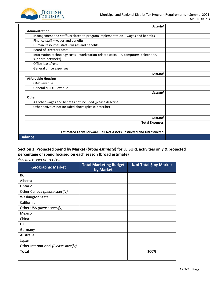

| <b>Subtotal</b>                                                                                            |  |
|------------------------------------------------------------------------------------------------------------|--|
| Administration                                                                                             |  |
| Management and staff unrelated to program implementation - wages and benefits                              |  |
| Finance staff - wages and benefits                                                                         |  |
| Human Resources staff - wages and benefits                                                                 |  |
| <b>Board of Directors costs</b>                                                                            |  |
| Information technology costs - workstation-related costs (i.e. computers, telephone,<br>support, networks) |  |
| Office lease/rent                                                                                          |  |
| General office expenses                                                                                    |  |
| <b>Subtotal</b>                                                                                            |  |
| <b>Affordable Housing</b>                                                                                  |  |
| <b>OAP Revenue</b>                                                                                         |  |
| <b>General MRDT Revenue</b>                                                                                |  |
| <b>Subtotal</b>                                                                                            |  |
| Other                                                                                                      |  |
| All other wages and benefits not included (please describe)                                                |  |
| Other activities not included above (please describe)                                                      |  |
| <b>Subtotal</b>                                                                                            |  |
| <b>Total Expenses</b>                                                                                      |  |
|                                                                                                            |  |
| Estimated Carry Forward - all Net Assets Restricted and Unrestricted                                       |  |
| <b>Balance</b>                                                                                             |  |

# **Section 3: Projected Spend by Market (***broad estimate***) for LEISURE activities only & projected percentage of spend focused on each season (broad estimate)**

*Add more rows as needed.*

| <b>Geographic Market</b>             | <b>Total Marketing Budget</b><br>by Market | % of Total \$ by Market |
|--------------------------------------|--------------------------------------------|-------------------------|
| BC                                   |                                            |                         |
| Alberta                              |                                            |                         |
| Ontario                              |                                            |                         |
| Other Canada (please specify)        |                                            |                         |
| <b>Washington State</b>              |                                            |                         |
| California                           |                                            |                         |
| Other USA (please specify)           |                                            |                         |
| Mexico                               |                                            |                         |
| China                                |                                            |                         |
| UK                                   |                                            |                         |
| Germany                              |                                            |                         |
| Australia                            |                                            |                         |
| Japan                                |                                            |                         |
| Other International (Please specify) |                                            |                         |
| Total                                |                                            | 100%                    |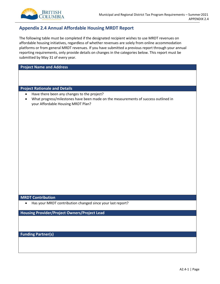

# <span id="page-49-0"></span>**Appendix 2.4 Annual Affordable Housing MRDT Report**

The following table must be completed if the designated recipient wishes to use MRDT revenues on affordable housing initiatives, regardless of whether revenues are solely from online accommodation platforms or from general MRDT revenues. If you have submitted a previous report through your annual reporting requirements, only provide details on changes in the categories below. This report must be submitted by May 31 of every year.

**Project Name and Address**

**Project Rationale and Details**

- Have there been any changes to the project?
- What progress/milestones have been made on the measurements of success outlined in your Affordable Housing MRDT Plan?

### **MRDT Contribution**

• Has your MRDT contribution changed since your last report?

**Housing Provider/Project Owners/Project Lead**

**Funding Partner(s)**